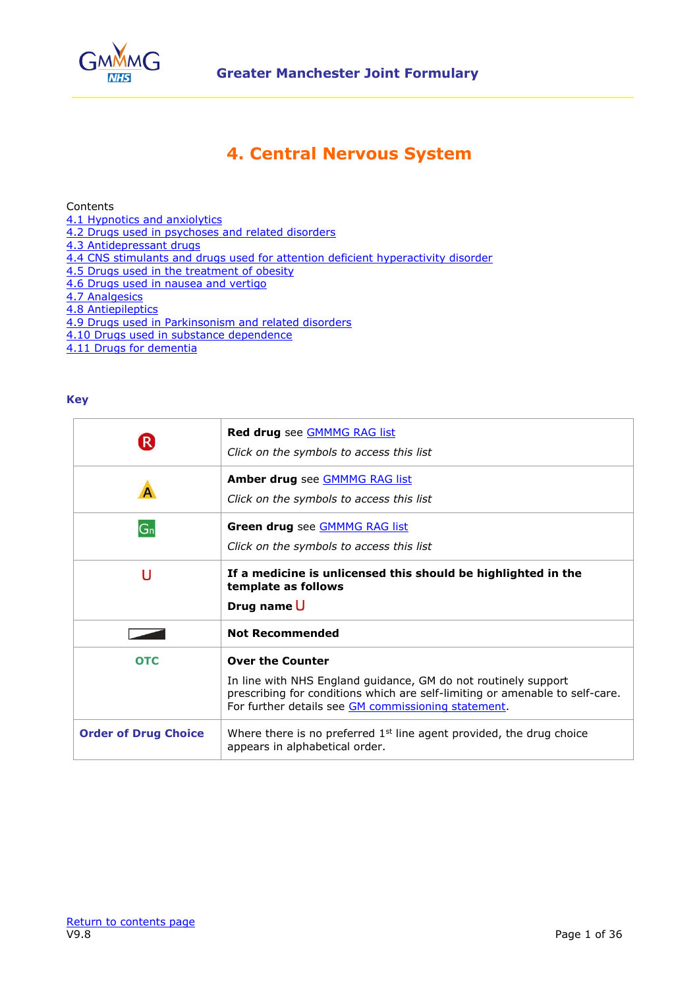

# **4. Central Nervous System**

<span id="page-0-0"></span>Contents

- [4.1 Hypnotics and anxiolytics](#page-1-0)
- [4.2 Drugs used in psychoses and related disorders](#page-2-0)
- [4.3 Antidepressant drugs](#page-8-0)
- [4.4 CNS stimulants and drugs used for attention deficient hyperactivity disorder](#page-10-0)
- [4.5 Drugs used in the treatment of obesity](#page-12-0)
- [4.6 Drugs used in nausea and vertigo](#page-13-0)
- [4.7 Analgesics](#page-15-0)
- [4.8 Antiepileptics](#page-25-0)
- [4.9 Drugs used in Parkinsonism and related disorders](#page-29-0)
- [4.10 Drugs used in substance dependence](#page-32-0)
- [4.11 Drugs for dementia](#page-35-0)

### **Key**

| $\vert \mathsf{R} \rangle$  | Red drug see GMMMG RAG list<br>Click on the symbols to access this list                                                                                                                                                          |
|-----------------------------|----------------------------------------------------------------------------------------------------------------------------------------------------------------------------------------------------------------------------------|
|                             | <b>Amber drug</b> see <b>GMMMG RAG list</b><br>Click on the symbols to access this list                                                                                                                                          |
| G <sub>n</sub>              | Green drug see <b>GMMMG RAG list</b><br>Click on the symbols to access this list                                                                                                                                                 |
| U                           | If a medicine is unlicensed this should be highlighted in the<br>template as follows<br>Drug name U                                                                                                                              |
|                             | <b>Not Recommended</b>                                                                                                                                                                                                           |
| <b>OTC</b>                  | <b>Over the Counter</b><br>In line with NHS England guidance, GM do not routinely support<br>prescribing for conditions which are self-limiting or amenable to self-care.<br>For further details see GM commissioning statement. |
| <b>Order of Drug Choice</b> | Where there is no preferred $1st$ line agent provided, the drug choice<br>appears in alphabetical order.                                                                                                                         |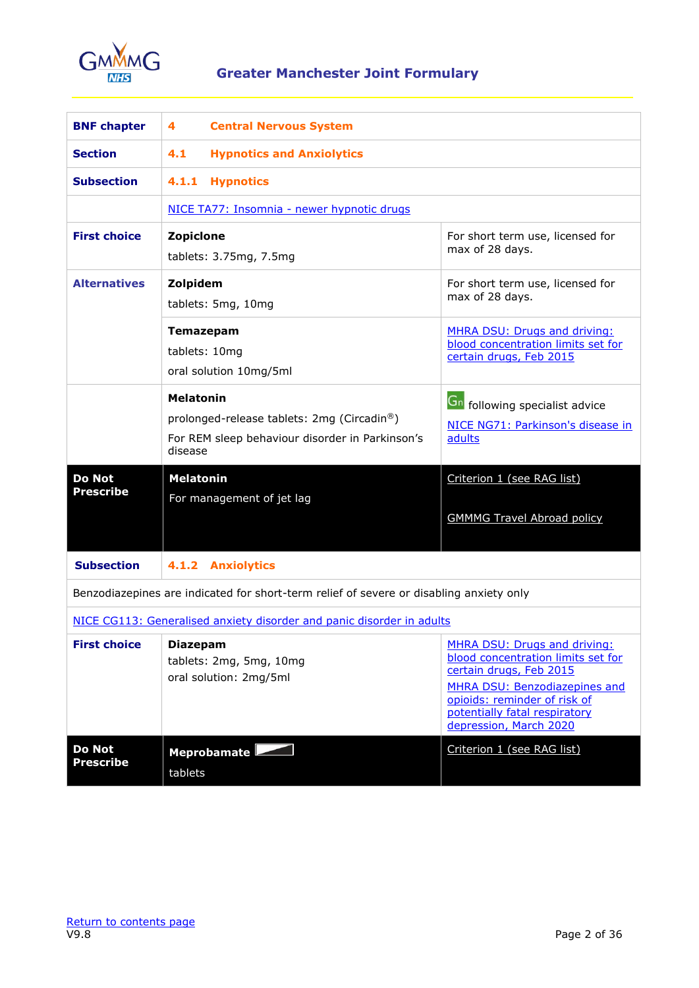

<span id="page-1-1"></span><span id="page-1-0"></span>

| <b>BNF chapter</b>                                                                      | 4<br><b>Central Nervous System</b>                                                                                           |                                                                                                                                                                                                                           |
|-----------------------------------------------------------------------------------------|------------------------------------------------------------------------------------------------------------------------------|---------------------------------------------------------------------------------------------------------------------------------------------------------------------------------------------------------------------------|
| <b>Section</b>                                                                          | 4.1<br><b>Hypnotics and Anxiolytics</b>                                                                                      |                                                                                                                                                                                                                           |
| <b>Subsection</b>                                                                       | 4.1.1<br><b>Hypnotics</b>                                                                                                    |                                                                                                                                                                                                                           |
|                                                                                         | NICE TA77: Insomnia - newer hypnotic drugs                                                                                   |                                                                                                                                                                                                                           |
| <b>First choice</b>                                                                     | Zopiclone<br>tablets: $3.75mg$ , $7.5mg$                                                                                     | For short term use, licensed for<br>max of 28 days.                                                                                                                                                                       |
| <b>Alternatives</b>                                                                     | Zolpidem<br>tablets: 5mg, 10mg                                                                                               | For short term use, licensed for<br>max of 28 days.                                                                                                                                                                       |
|                                                                                         | <b>Temazepam</b><br>tablets: 10mg<br>oral solution 10mg/5ml                                                                  | MHRA DSU: Drugs and driving:<br>blood concentration limits set for<br>certain drugs, Feb 2015                                                                                                                             |
|                                                                                         | <b>Melatonin</b><br>prolonged-release tablets: 2mg (Circadin®)<br>For REM sleep behaviour disorder in Parkinson's<br>disease | <b>Gn</b> following specialist advice<br>NICE NG71: Parkinson's disease in<br>adults                                                                                                                                      |
| <b>Do Not</b><br><b>Prescribe</b>                                                       | <b>Melatonin</b><br>For management of jet lag                                                                                | Criterion 1 (see RAG list)<br><b>GMMMG Travel Abroad policy</b>                                                                                                                                                           |
| <b>Subsection</b>                                                                       | 4.1.2 Anxiolytics                                                                                                            |                                                                                                                                                                                                                           |
| Benzodiazepines are indicated for short-term relief of severe or disabling anxiety only |                                                                                                                              |                                                                                                                                                                                                                           |
| NICE CG113: Generalised anxiety disorder and panic disorder in adults                   |                                                                                                                              |                                                                                                                                                                                                                           |
| <b>First choice</b>                                                                     | <b>Diazepam</b><br>tablets: 2mg, 5mg, 10mg<br>oral solution: 2mg/5ml                                                         | MHRA DSU: Drugs and driving:<br>blood concentration limits set for<br>certain drugs, Feb 2015<br>MHRA DSU: Benzodiazepines and<br>opioids: reminder of risk of<br>potentially fatal respiratory<br>depression, March 2020 |
| <b>Do Not</b><br><b>Prescribe</b>                                                       | Meprobamate<br>tablets                                                                                                       | Criterion 1 (see RAG list)                                                                                                                                                                                                |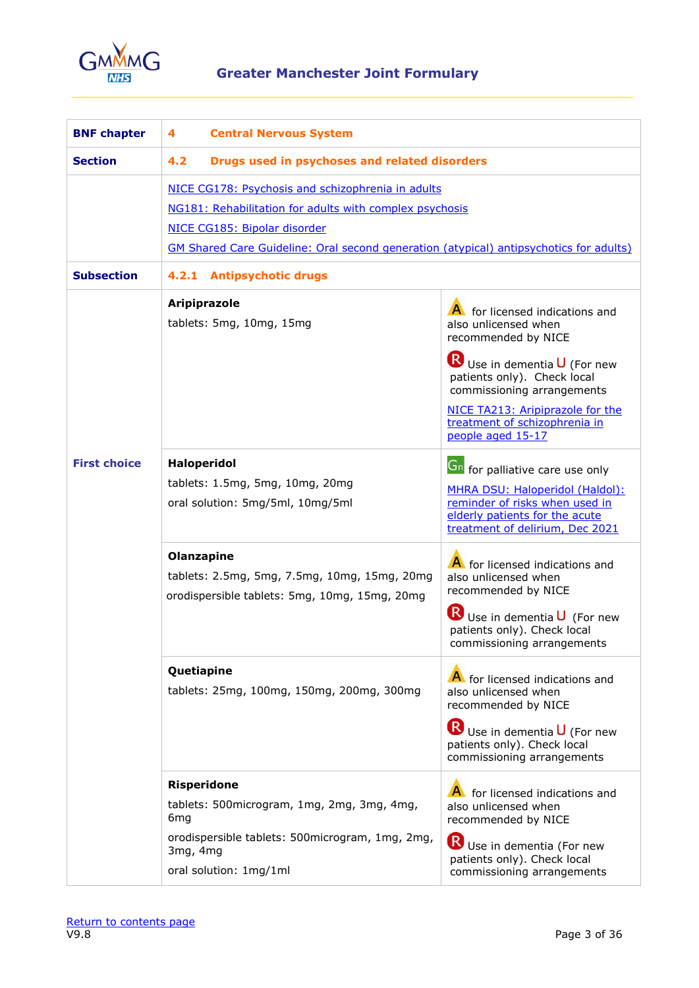

<span id="page-2-1"></span><span id="page-2-0"></span>

| <b>BNF chapter</b>  | <b>Central Nervous System</b><br>4                                                                                                                                                                                                            |                                                                                                                                                                                                                                    |
|---------------------|-----------------------------------------------------------------------------------------------------------------------------------------------------------------------------------------------------------------------------------------------|------------------------------------------------------------------------------------------------------------------------------------------------------------------------------------------------------------------------------------|
| <b>Section</b>      | 4.2<br>Drugs used in psychoses and related disorders                                                                                                                                                                                          |                                                                                                                                                                                                                                    |
|                     | NICE CG178: Psychosis and schizophrenia in adults<br>NG181: Rehabilitation for adults with complex psychosis<br>NICE CG185: Bipolar disorder<br><b>GM Shared Care Guideline: Oral second generation (atypical) antipsychotics for adults)</b> |                                                                                                                                                                                                                                    |
| <b>Subsection</b>   | 4.2.1 Antipsychotic drugs                                                                                                                                                                                                                     |                                                                                                                                                                                                                                    |
|                     | Aripiprazole<br>tablets: 5mg, 10mg, 15mg                                                                                                                                                                                                      | A for licensed indications and<br>also unlicensed when<br>recommended by NICE<br>$\mathbf R$ Use in dementia $\mathbf U$ (For new<br>patients only). Check local<br>commissioning arrangements<br>NICE TA213: Aripiprazole for the |
|                     |                                                                                                                                                                                                                                               | treatment of schizophrenia in<br>people aged 15-17                                                                                                                                                                                 |
| <b>First choice</b> | <b>Haloperidol</b><br>tablets: 1.5mg, 5mg, 10mg, 20mg<br>oral solution: 5mg/5ml, 10mg/5ml                                                                                                                                                     | <b>Gn</b> for palliative care use only<br>MHRA DSU: Haloperidol (Haldol):<br>reminder of risks when used in<br>elderly patients for the acute<br>treatment of delirium, Dec 2021                                                   |
|                     | Olanzapine<br>tablets: 2.5mg, 5mg, 7.5mg, 10mg, 15mg, 20mg<br>orodispersible tablets: 5mg, 10mg, 15mg, 20mg                                                                                                                                   | A for licensed indications and<br>also unlicensed when<br>recommended by NICE<br>R)<br>Use in dementia $\mathsf{U}$ (For new<br>patients only). Check local<br>commissioning arrangements                                          |
|                     | Quetiapine<br>tablets: 25mg, 100mg, 150mg, 200mg, 300mg                                                                                                                                                                                       | A for licensed indications and<br>also unlicensed when<br>recommended by NICE                                                                                                                                                      |
|                     |                                                                                                                                                                                                                                               | Use in dementia U (For new<br>patients only). Check local<br>commissioning arrangements                                                                                                                                            |
|                     | <b>Risperidone</b><br>tablets: 500 microgram, 1mg, 2mg, 3mg, 4mg,<br>6 <sub>mg</sub><br>orodispersible tablets: 500microgram, 1mg, 2mg,<br>3mg, 4mg                                                                                           | A for licensed indications and<br>also unlicensed when<br>recommended by NICE<br>R<br>Use in dementia (For new                                                                                                                     |
|                     | oral solution: 1mg/1ml                                                                                                                                                                                                                        | patients only). Check local<br>commissioning arrangements                                                                                                                                                                          |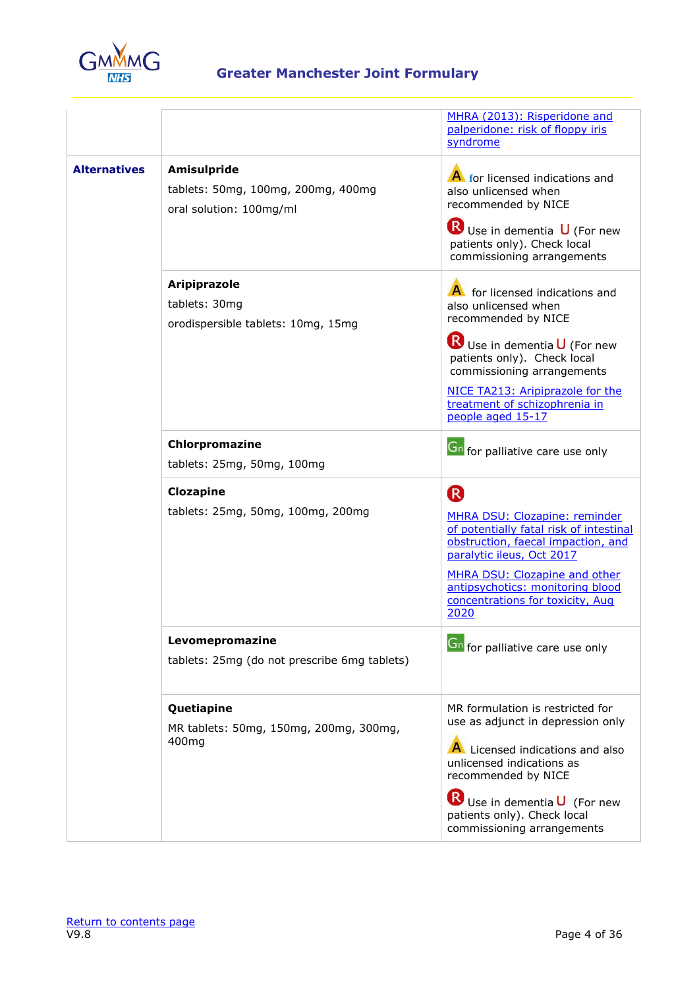

|                     |                                                                                     | MHRA (2013): Risperidone and<br>palperidone: risk of floppy iris<br>syndrome                                                                                                                                                                                       |
|---------------------|-------------------------------------------------------------------------------------|--------------------------------------------------------------------------------------------------------------------------------------------------------------------------------------------------------------------------------------------------------------------|
| <b>Alternatives</b> | <b>Amisulpride</b><br>tablets: 50mg, 100mg, 200mg, 400mg<br>oral solution: 100mg/ml | A for licensed indications and<br>also unlicensed when<br>recommended by NICE<br>Use in dementia U (For new<br>patients only). Check local<br>commissioning arrangements                                                                                           |
|                     | <b>Aripiprazole</b><br>tablets: 30mg<br>orodispersible tablets: 10mg, 15mg          | A for licensed indications and<br>also unlicensed when<br>recommended by NICE<br>Use in dementia U (For new<br>patients only). Check local<br>commissioning arrangements<br>NICE TA213: Aripiprazole for the<br>treatment of schizophrenia in<br>people aged 15-17 |
|                     | Chlorpromazine<br>tablets: 25mg, 50mg, 100mg                                        | <b>Gn</b> for palliative care use only                                                                                                                                                                                                                             |
|                     | Clozapine<br>tablets: 25mg, 50mg, 100mg, 200mg                                      | R<br>MHRA DSU: Clozapine: reminder<br>of potentially fatal risk of intestinal<br>obstruction, faecal impaction, and<br>paralytic ileus, Oct 2017<br>MHRA DSU: Clozapine and other<br>antipsychotics: monitoring blood<br>concentrations for toxicity, Aug<br>2020  |
|                     | Levomepromazine<br>tablets: 25mg (do not prescribe 6mg tablets)                     | <b>Gn</b> for palliative care use only                                                                                                                                                                                                                             |
|                     | Quetiapine<br>MR tablets: 50mg, 150mg, 200mg, 300mg,<br>400mg                       | MR formulation is restricted for<br>use as adjunct in depression only<br>A Licensed indications and also<br>unlicensed indications as<br>recommended by NICE<br>Use in dementia U (For new<br>patients only). Check local<br>commissioning arrangements            |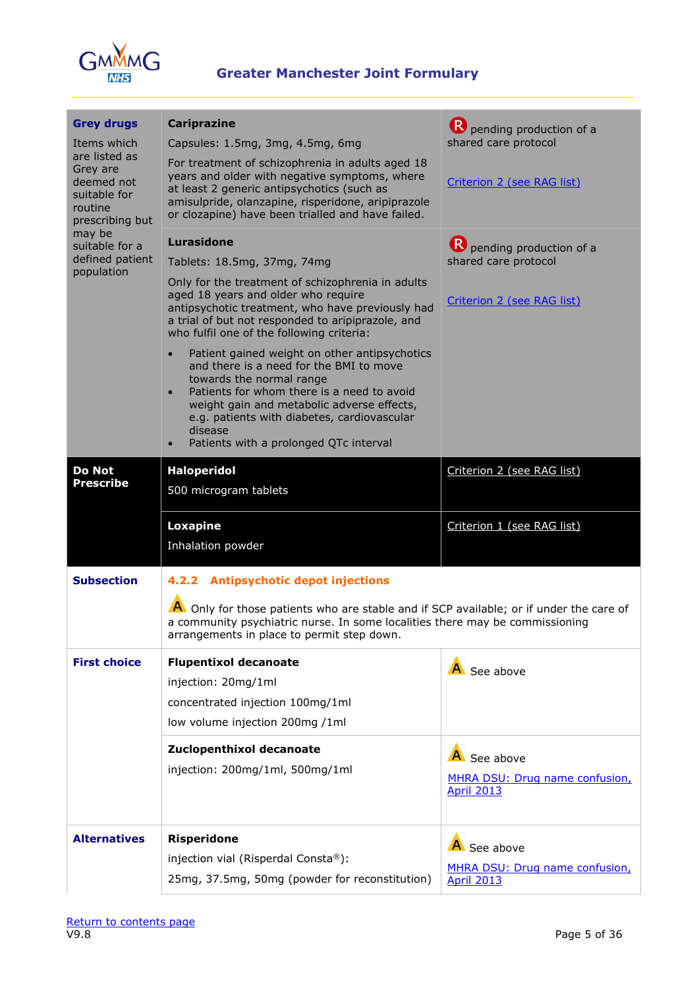

| <b>Grey drugs</b><br>Items which<br>are listed as<br>Grey are<br>deemed not<br>suitable for<br>routine<br>prescribing but<br>may be<br>suitable for a<br>defined patient<br>population | <b>Cariprazine</b><br>Capsules: 1.5mg, 3mg, 4.5mg, 6mg<br>For treatment of schizophrenia in adults aged 18<br>years and older with negative symptoms, where<br>at least 2 generic antipsychotics (such as<br>amisulpride, olanzapine, risperidone, aripiprazole<br>or clozapine) have been trialled and have failed.                                                                                                                                                                                                                                                                                                                          | pending production of a<br>shared care protocol<br>Criterion 2 (see RAG list)   |
|----------------------------------------------------------------------------------------------------------------------------------------------------------------------------------------|-----------------------------------------------------------------------------------------------------------------------------------------------------------------------------------------------------------------------------------------------------------------------------------------------------------------------------------------------------------------------------------------------------------------------------------------------------------------------------------------------------------------------------------------------------------------------------------------------------------------------------------------------|---------------------------------------------------------------------------------|
|                                                                                                                                                                                        | Lurasidone<br>Tablets: 18.5mg, 37mg, 74mg<br>Only for the treatment of schizophrenia in adults<br>aged 18 years and older who require<br>antipsychotic treatment, who have previously had<br>a trial of but not responded to aripiprazole, and<br>who fulfil one of the following criteria:<br>Patient gained weight on other antipsychotics<br>$\bullet$<br>and there is a need for the BMI to move<br>towards the normal range<br>Patients for whom there is a need to avoid<br>$\bullet$<br>weight gain and metabolic adverse effects,<br>e.g. patients with diabetes, cardiovascular<br>disease<br>Patients with a prolonged QTc interval | P pending production of a<br>shared care protocol<br>Criterion 2 (see RAG list) |
| <b>Do Not</b><br><b>Prescribe</b>                                                                                                                                                      | <b>Haloperidol</b><br>500 microgram tablets<br><b>Loxapine</b>                                                                                                                                                                                                                                                                                                                                                                                                                                                                                                                                                                                | Criterion 2 (see RAG list)<br>Criterion 1 (see RAG list)                        |
| <b>Subsection</b>                                                                                                                                                                      | Inhalation powder<br>4.2.2 Antipsychotic depot injections<br>A Only for those patients who are stable and if SCP available; or if under the care of<br>a community psychiatric nurse. In some localities there may be commissioning<br>arrangements in place to permit step down.                                                                                                                                                                                                                                                                                                                                                             |                                                                                 |
| <b>First choice</b>                                                                                                                                                                    | <b>Flupentixol decanoate</b><br>injection: 20mg/1ml<br>concentrated injection 100mg/1ml<br>low volume injection 200mg /1ml                                                                                                                                                                                                                                                                                                                                                                                                                                                                                                                    | A See above                                                                     |
|                                                                                                                                                                                        | Zuclopenthixol decanoate<br>injection: 200mg/1ml, 500mg/1ml                                                                                                                                                                                                                                                                                                                                                                                                                                                                                                                                                                                   | A See above<br>MHRA DSU: Drug name confusion,<br><b>April 2013</b>              |
| <b>Alternatives</b>                                                                                                                                                                    | <b>Risperidone</b><br>injection vial (Risperdal Consta®):<br>25mg, 37.5mg, 50mg (powder for reconstitution)                                                                                                                                                                                                                                                                                                                                                                                                                                                                                                                                   | A See above<br>MHRA DSU: Drug name confusion,<br><b>April 2013</b>              |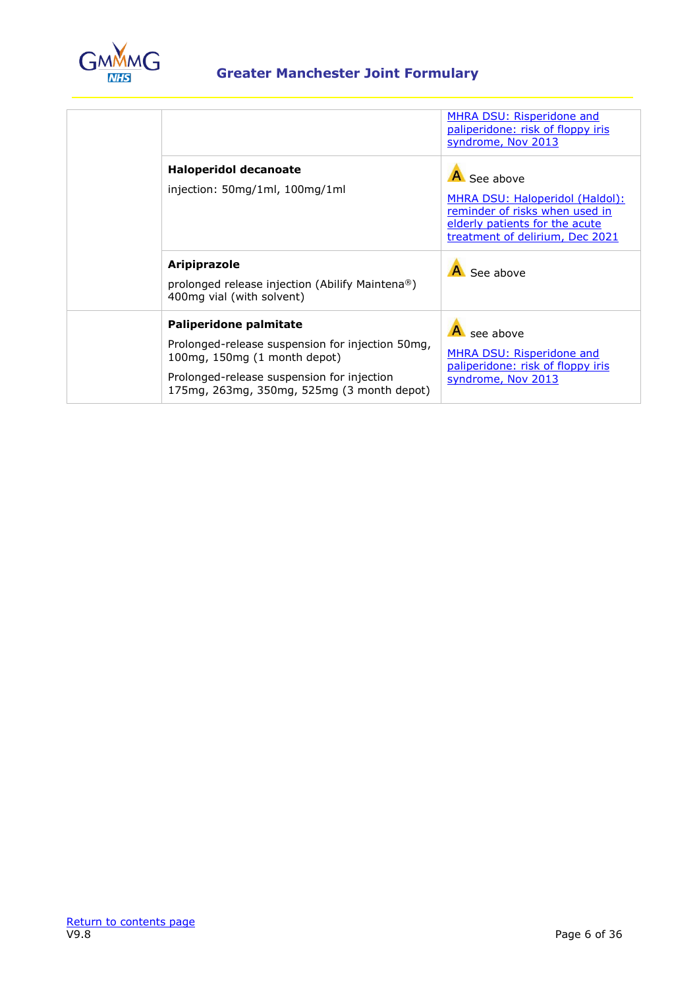

|                                                                                                                                                                                                        | <b>MHRA DSU: Risperidone and</b><br>paliperidone: risk of floppy iris<br>syndrome, Nov 2013                                                           |
|--------------------------------------------------------------------------------------------------------------------------------------------------------------------------------------------------------|-------------------------------------------------------------------------------------------------------------------------------------------------------|
| <b>Haloperidol decanoate</b><br>injection: 50mg/1ml, 100mg/1ml                                                                                                                                         | A See above<br>MHRA DSU: Haloperidol (Haldol):<br>reminder of risks when used in<br>elderly patients for the acute<br>treatment of delirium, Dec 2021 |
| <b>Aripiprazole</b><br>prolonged release injection (Abilify Maintena®)<br>400mg vial (with solvent)                                                                                                    | See above                                                                                                                                             |
| Paliperidone palmitate<br>Prolonged-release suspension for injection 50mg,<br>100mg, 150mg (1 month depot)<br>Prolonged-release suspension for injection<br>175mg, 263mg, 350mg, 525mg (3 month depot) | see above<br><b>MHRA DSU: Risperidone and</b><br>paliperidone: risk of floppy iris<br>syndrome, Nov 2013                                              |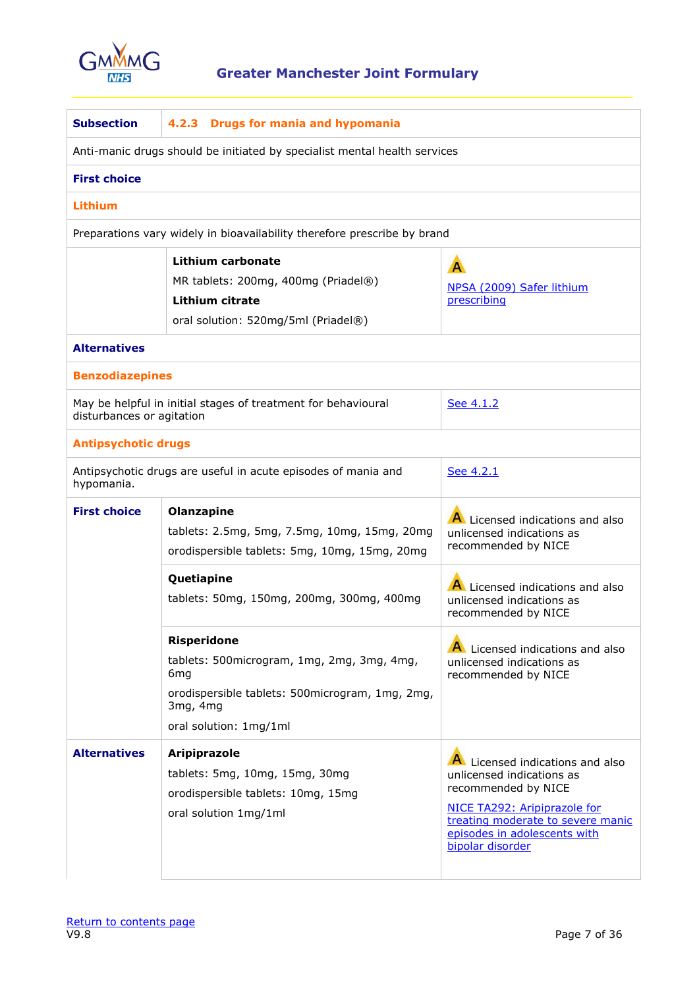

| <b>Subsection</b>                                                         | 4.2.3 Drugs for mania and hypomania                                                                                                                                          |                                                                                                                                                                                                            |  |
|---------------------------------------------------------------------------|------------------------------------------------------------------------------------------------------------------------------------------------------------------------------|------------------------------------------------------------------------------------------------------------------------------------------------------------------------------------------------------------|--|
| Anti-manic drugs should be initiated by specialist mental health services |                                                                                                                                                                              |                                                                                                                                                                                                            |  |
| <b>First choice</b>                                                       |                                                                                                                                                                              |                                                                                                                                                                                                            |  |
| Lithium                                                                   |                                                                                                                                                                              |                                                                                                                                                                                                            |  |
|                                                                           | Preparations vary widely in bioavailability therefore prescribe by brand                                                                                                     |                                                                                                                                                                                                            |  |
|                                                                           | Lithium carbonate<br>MR tablets: 200mg, 400mg (Priadel $\circledR$ )<br>Lithium citrate<br>oral solution: 520mg/5ml (Priadel®)                                               | $\overline{A}$<br>NPSA (2009) Safer lithium<br>prescribing                                                                                                                                                 |  |
| <b>Alternatives</b>                                                       |                                                                                                                                                                              |                                                                                                                                                                                                            |  |
| <b>Benzodiazepines</b>                                                    |                                                                                                                                                                              |                                                                                                                                                                                                            |  |
|                                                                           | May be helpful in initial stages of treatment for behavioural<br>See 4.1.2<br>disturbances or agitation                                                                      |                                                                                                                                                                                                            |  |
| <b>Antipsychotic drugs</b>                                                |                                                                                                                                                                              |                                                                                                                                                                                                            |  |
| hypomania.                                                                | Antipsychotic drugs are useful in acute episodes of mania and                                                                                                                | See 4.2.1                                                                                                                                                                                                  |  |
| <b>First choice</b>                                                       | Olanzapine<br>tablets: 2.5mg, 5mg, 7.5mg, 10mg, 15mg, 20mg<br>orodispersible tablets: 5mg, 10mg, 15mg, 20mg                                                                  | A Licensed indications and also<br>unlicensed indications as<br>recommended by NICE                                                                                                                        |  |
|                                                                           | Quetiapine<br>tablets: 50mg, 150mg, 200mg, 300mg, 400mg                                                                                                                      | A Licensed indications and also<br>unlicensed indications as<br>recommended by NICE                                                                                                                        |  |
|                                                                           | <b>Risperidone</b><br>tablets: 500microgram, 1mg, 2mg, 3mg, 4mg,<br>6 <sub>mg</sub><br>orodispersible tablets: 500microgram, 1mg, 2mg,<br>3mg, 4mg<br>oral solution: 1mg/1ml | Licensed indications and also<br>unlicensed indications as<br>recommended by NICE                                                                                                                          |  |
| <b>Alternatives</b>                                                       | <b>Aripiprazole</b><br>tablets: 5mg, 10mg, 15mg, 30mg<br>orodispersible tablets: 10mg, 15mg<br>oral solution 1mg/1ml                                                         | Licensed indications and also<br>unlicensed indications as<br>recommended by NICE<br>NICE TA292: Aripiprazole for<br>treating moderate to severe manic<br>episodes in adolescents with<br>bipolar disorder |  |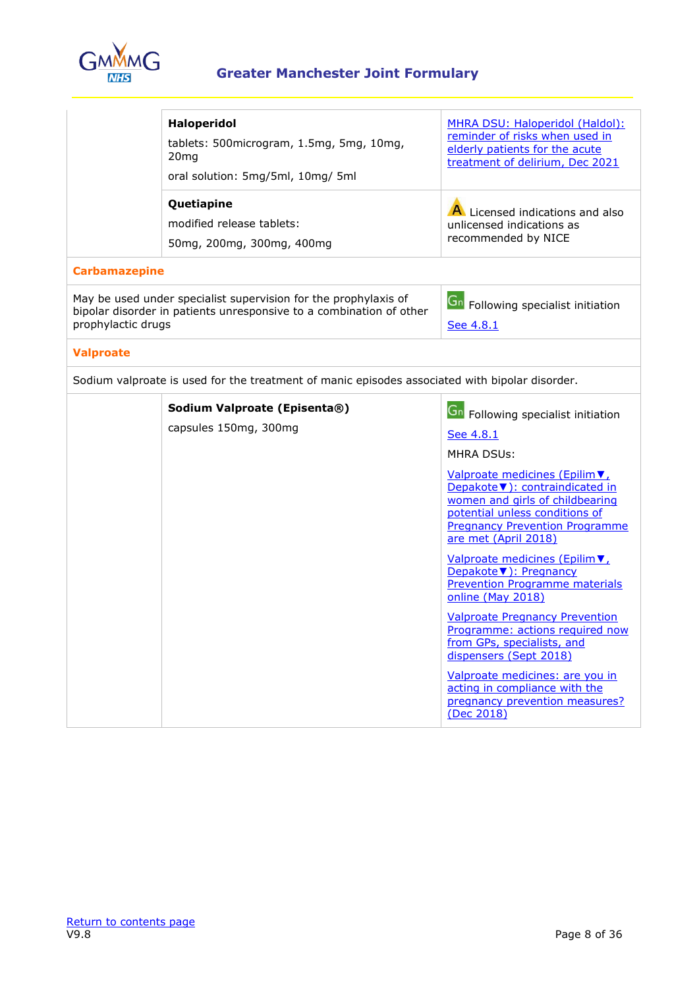

|                      | <b>Haloperidol</b><br>tablets: 500microgram, 1.5mg, 5mg, 10mg,<br>20 <sub>mg</sub><br>oral solution: 5mg/5ml, 10mg/5ml                 | MHRA DSU: Haloperidol (Haldol):<br>reminder of risks when used in<br>elderly patients for the acute<br>treatment of delirium, Dec 2021                                                                  |
|----------------------|----------------------------------------------------------------------------------------------------------------------------------------|---------------------------------------------------------------------------------------------------------------------------------------------------------------------------------------------------------|
|                      | Quetiapine<br>modified release tablets:<br>50mg, 200mg, 300mg, 400mg                                                                   | A Licensed indications and also<br>unlicensed indications as<br>recommended by NICE                                                                                                                     |
| <b>Carbamazepine</b> |                                                                                                                                        |                                                                                                                                                                                                         |
| prophylactic drugs   | May be used under specialist supervision for the prophylaxis of<br>bipolar disorder in patients unresponsive to a combination of other | <b>Gn</b> Following specialist initiation<br>See 4.8.1                                                                                                                                                  |
| <b>Valproate</b>     |                                                                                                                                        |                                                                                                                                                                                                         |
|                      | Sodium valproate is used for the treatment of manic episodes associated with bipolar disorder.                                         |                                                                                                                                                                                                         |
|                      | Sodium Valproate (Episenta®)                                                                                                           | <b>Gn</b> Following specialist initiation                                                                                                                                                               |
|                      | capsules 150mg, 300mg                                                                                                                  | See 4.8.1                                                                                                                                                                                               |
|                      |                                                                                                                                        | <b>MHRA DSUs:</b>                                                                                                                                                                                       |
|                      |                                                                                                                                        | Valproate medicines (Epilim ▼,<br>Depakote ▼): contraindicated in<br>women and girls of childbearing<br>potential unless conditions of<br><b>Pregnancy Prevention Programme</b><br>are met (April 2018) |
|                      |                                                                                                                                        | Valproate medicines (Epilim V,<br>Depakote ▼): Pregnancy<br><b>Prevention Programme materials</b><br>online (May 2018)                                                                                  |
|                      |                                                                                                                                        | <b>Valproate Pregnancy Prevention</b><br>Programme: actions required now<br>from GPs, specialists, and<br>dispensers (Sept 2018)                                                                        |
|                      |                                                                                                                                        | Valproate medicines: are you in<br>acting in compliance with the<br>pregnancy prevention measures?<br>(Dec 2018)                                                                                        |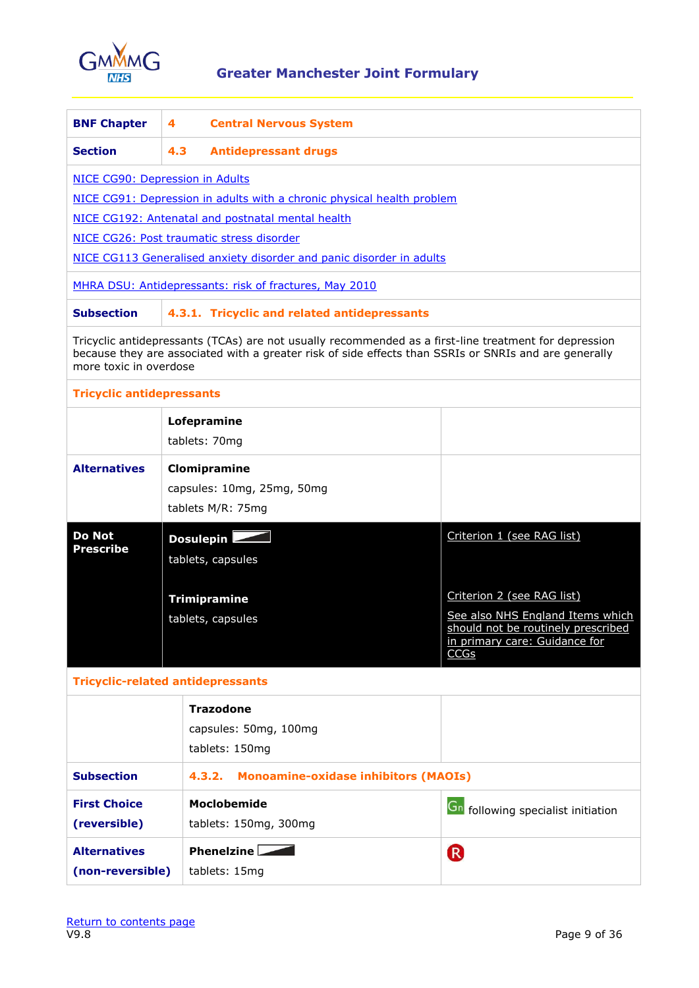

<span id="page-8-0"></span>

| <b>BNF Chapter</b>                       | 4   | <b>Central Nervous System</b>                                                                                                                                                                                  |                                                                        |
|------------------------------------------|-----|----------------------------------------------------------------------------------------------------------------------------------------------------------------------------------------------------------------|------------------------------------------------------------------------|
| <b>Section</b>                           | 4.3 | <b>Antidepressant drugs</b>                                                                                                                                                                                    |                                                                        |
| NICE CG90: Depression in Adults          |     |                                                                                                                                                                                                                |                                                                        |
|                                          |     | NICE CG91: Depression in adults with a chronic physical health problem                                                                                                                                         |                                                                        |
|                                          |     | NICE CG192: Antenatal and postnatal mental health                                                                                                                                                              |                                                                        |
|                                          |     | NICE CG26: Post traumatic stress disorder                                                                                                                                                                      |                                                                        |
|                                          |     | NICE CG113 Generalised anxiety disorder and panic disorder in adults                                                                                                                                           |                                                                        |
|                                          |     | MHRA DSU: Antidepressants: risk of fractures, May 2010                                                                                                                                                         |                                                                        |
| <b>Subsection</b>                        |     | 4.3.1. Tricyclic and related antidepressants                                                                                                                                                                   |                                                                        |
| more toxic in overdose                   |     | Tricyclic antidepressants (TCAs) are not usually recommended as a first-line treatment for depression<br>because they are associated with a greater risk of side effects than SSRIs or SNRIs and are generally |                                                                        |
| <b>Tricyclic antidepressants</b>         |     |                                                                                                                                                                                                                |                                                                        |
|                                          |     | Lofepramine                                                                                                                                                                                                    |                                                                        |
|                                          |     | tablets: 70mg                                                                                                                                                                                                  |                                                                        |
| <b>Alternatives</b>                      |     | Clomipramine                                                                                                                                                                                                   |                                                                        |
|                                          |     | capsules: 10mg, 25mg, 50mg                                                                                                                                                                                     |                                                                        |
|                                          |     | tablets M/R: 75mg                                                                                                                                                                                              |                                                                        |
| <b>Do Not</b><br><b>Prescribe</b>        |     | Dosulepin<br>tablets, capsules                                                                                                                                                                                 | Criterion 1 (see RAG list)                                             |
|                                          |     |                                                                                                                                                                                                                |                                                                        |
|                                          |     | <b>Trimipramine</b>                                                                                                                                                                                            | Criterion 2 (see RAG list)                                             |
|                                          |     | tablets, capsules                                                                                                                                                                                              | See also NHS England Items which<br>should not be routinely prescribed |
|                                          |     |                                                                                                                                                                                                                | in primary care: Guidance for<br>CCGs                                  |
| <b>Tricyclic-related antidepressants</b> |     |                                                                                                                                                                                                                |                                                                        |
|                                          |     |                                                                                                                                                                                                                |                                                                        |
|                                          |     | <b>Trazodone</b>                                                                                                                                                                                               |                                                                        |
|                                          |     | capsules: 50mg, 100mg                                                                                                                                                                                          |                                                                        |
|                                          |     | tablets: 150mg                                                                                                                                                                                                 |                                                                        |
| <b>Subsection</b>                        |     | <b>Monoamine-oxidase inhibitors (MAOIs)</b><br>4.3.2.                                                                                                                                                          |                                                                        |
| <b>First Choice</b>                      |     | <b>Moclobemide</b>                                                                                                                                                                                             | <b>Gn</b> following specialist initiation                              |
| (reversible)                             |     | tablets: 150mg, 300mg                                                                                                                                                                                          |                                                                        |
| <b>Alternatives</b>                      |     | Phenelzine $\overline{\phantom{a}}$                                                                                                                                                                            | <sup>R</sup>                                                           |
| (non-reversible)                         |     | tablets: 15mg                                                                                                                                                                                                  |                                                                        |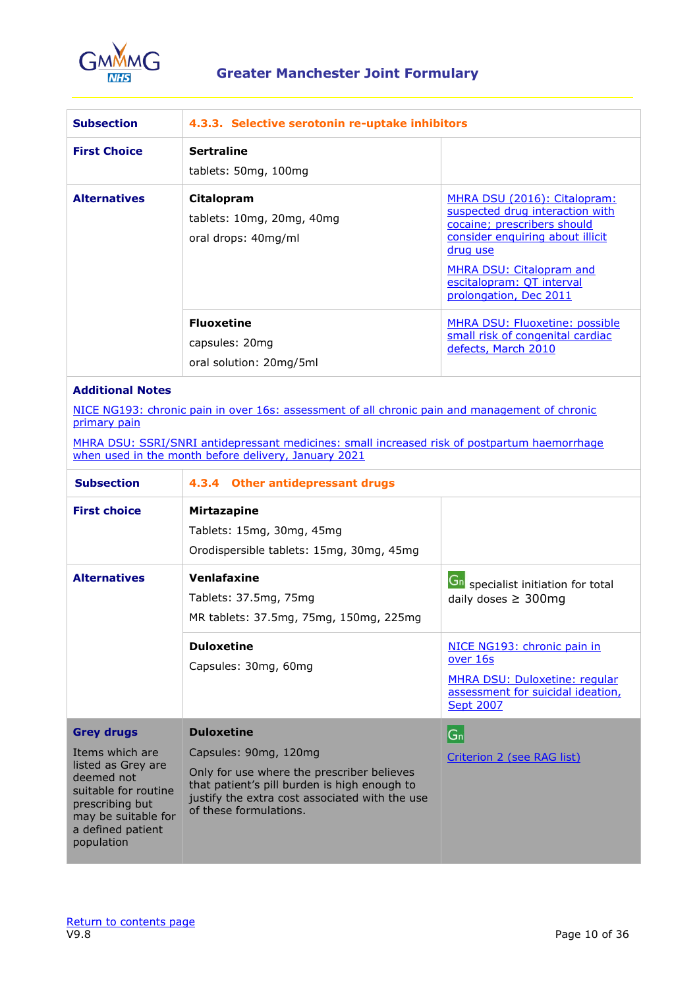

| <b>Subsection</b>   | 4.3.3. Selective serotonin re-uptake inhibitors                |                                                                                                                                                                                                                                                 |
|---------------------|----------------------------------------------------------------|-------------------------------------------------------------------------------------------------------------------------------------------------------------------------------------------------------------------------------------------------|
| <b>First Choice</b> | <b>Sertraline</b><br>tablets: 50mg, 100mg                      |                                                                                                                                                                                                                                                 |
| <b>Alternatives</b> | Citalopram<br>tablets: 10mg, 20mg, 40mg<br>oral drops: 40mg/ml | MHRA DSU (2016): Citalopram:<br>suspected drug interaction with<br>cocaine; prescribers should<br>consider enquiring about illicit<br><u>drug use</u><br><b>MHRA DSU: Citalopram and</b><br>escitalopram: QT interval<br>prolongation, Dec 2011 |
|                     | <b>Fluoxetine</b><br>capsules: 20mg<br>oral solution: 20mg/5ml | <b>MHRA DSU: Fluoxetine: possible</b><br>small risk of congenital cardiac<br>defects, March 2010                                                                                                                                                |

### **Additional Notes**

[NICE NG193: chronic pain in over 16s: assessment of all chronic pain and management of chronic](https://www.nice.org.uk/guidance/ng193)  [primary pain](https://www.nice.org.uk/guidance/ng193)

[MHRA DSU: SSRI/SNRI antidepressant medicines: small increased risk of postpartum haemorrhage](https://www.gov.uk/drug-safety-update/ssri-slash-snri-antidepressant-medicines-small-increased-risk-of-postpartum-haemorrhage-when-used-in-the-month-before-delivery)  [when used in the month before delivery, January 2021](https://www.gov.uk/drug-safety-update/ssri-slash-snri-antidepressant-medicines-small-increased-risk-of-postpartum-haemorrhage-when-used-in-the-month-before-delivery)

| <b>Subsection</b>                                                                                                                                                             | 4.3.4 Other antidepressant drugs                                                                                                                                                                                     |                                                                                                                                   |
|-------------------------------------------------------------------------------------------------------------------------------------------------------------------------------|----------------------------------------------------------------------------------------------------------------------------------------------------------------------------------------------------------------------|-----------------------------------------------------------------------------------------------------------------------------------|
| <b>First choice</b>                                                                                                                                                           | <b>Mirtazapine</b><br>Tablets: 15mg, 30mg, 45mg<br>Orodispersible tablets: 15mg, 30mg, 45mg                                                                                                                          |                                                                                                                                   |
| <b>Alternatives</b>                                                                                                                                                           | Venlafaxine<br>Tablets: 37.5mg, 75mg<br>MR tablets: 37.5mg, 75mg, 150mg, 225mg                                                                                                                                       | <b>Gn</b> specialist initiation for total<br>daily doses $\geq 300$ mg                                                            |
|                                                                                                                                                                               | <b>Duloxetine</b><br>Capsules: 30mg, 60mg                                                                                                                                                                            | NICE NG193: chronic pain in<br>over 16s<br>MHRA DSU: Duloxetine: regular<br>assessment for suicidal ideation,<br><b>Sept 2007</b> |
| <b>Grey drugs</b><br>Items which are<br>listed as Grey are<br>deemed not<br>suitable for routine<br>prescribing but<br>may be suitable for<br>a defined patient<br>population | <b>Duloxetine</b><br>Capsules: 90mg, 120mg<br>Only for use where the prescriber believes<br>that patient's pill burden is high enough to<br>justify the extra cost associated with the use<br>of these formulations. | G <sub>n</sub><br>Criterion 2 (see RAG list)                                                                                      |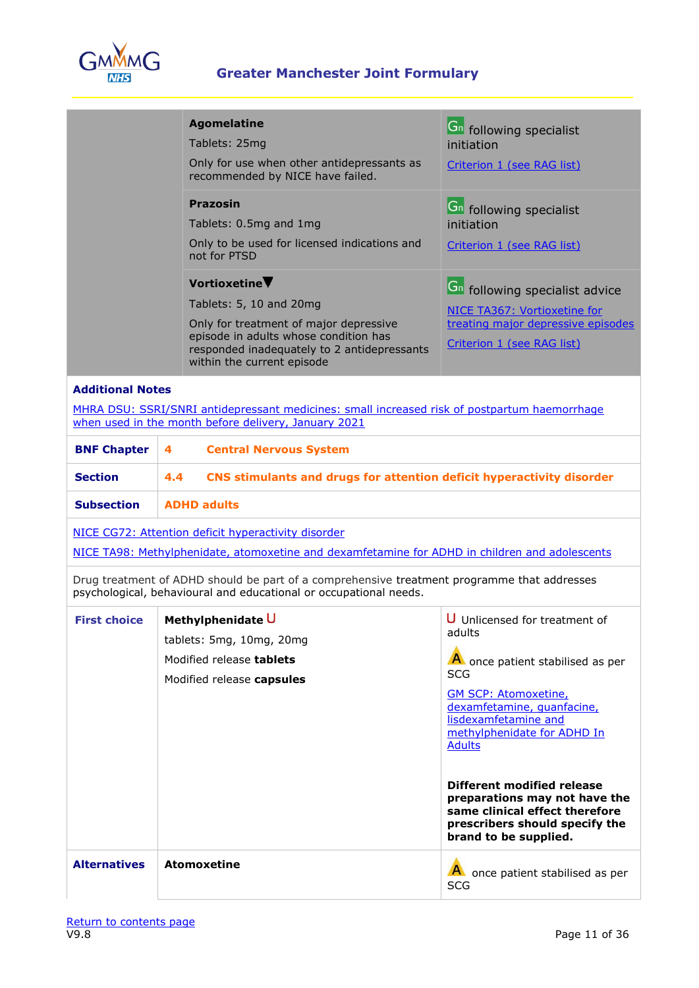

<span id="page-10-0"></span>

|                                                                 | <b>Agomelatine</b><br>Tablets: 25mg<br>Only for use when other antidepressants as<br>recommended by NICE have failed.<br><b>Prazosin</b><br>Tablets: 0.5mg and 1mg<br>Only to be used for licensed indications and<br>not for PTSD<br>Vortioxetine<br>Tablets: 5, 10 and 20mg<br>Only for treatment of major depressive<br>episode in adults whose condition has | <b>G</b> <sup>n</sup> following specialist<br>initiation<br>Criterion 1 (see RAG list)<br><b>Gn</b> following specialist<br>initiation<br>Criterion 1 (see RAG list)<br><b>Gn</b> following specialist advice<br>NICE TA367: Vortioxetine for<br>treating major depressive episodes                                                                                                               |  |
|-----------------------------------------------------------------|------------------------------------------------------------------------------------------------------------------------------------------------------------------------------------------------------------------------------------------------------------------------------------------------------------------------------------------------------------------|---------------------------------------------------------------------------------------------------------------------------------------------------------------------------------------------------------------------------------------------------------------------------------------------------------------------------------------------------------------------------------------------------|--|
|                                                                 | responded inadequately to 2 antidepressants<br>within the current episode                                                                                                                                                                                                                                                                                        | Criterion 1 (see RAG list)                                                                                                                                                                                                                                                                                                                                                                        |  |
| <b>Additional Notes</b><br><b>BNF Chapter</b><br><b>Section</b> | MHRA DSU: SSRI/SNRI antidepressant medicines: small increased risk of postpartum haemorrhage<br>when used in the month before delivery, January 2021<br><b>Central Nervous System</b><br>4<br>4.4                                                                                                                                                                |                                                                                                                                                                                                                                                                                                                                                                                                   |  |
| <b>Subsection</b>                                               | CNS stimulants and drugs for attention deficit hyperactivity disorder<br><b>ADHD adults</b>                                                                                                                                                                                                                                                                      |                                                                                                                                                                                                                                                                                                                                                                                                   |  |
|                                                                 |                                                                                                                                                                                                                                                                                                                                                                  |                                                                                                                                                                                                                                                                                                                                                                                                   |  |
|                                                                 | NICE CG72: Attention deficit hyperactivity disorder<br>NICE TA98: Methylphenidate, atomoxetine and dexamfetamine for ADHD in children and adolescents                                                                                                                                                                                                            |                                                                                                                                                                                                                                                                                                                                                                                                   |  |
|                                                                 | Drug treatment of ADHD should be part of a comprehensive treatment programme that addresses<br>psychological, behavioural and educational or occupational needs.                                                                                                                                                                                                 |                                                                                                                                                                                                                                                                                                                                                                                                   |  |
| <b>First choice</b>                                             | Methylphenidate U<br>tablets: 5mg, 10mg, 20mg<br>Modified release tablets<br>Modified release capsules                                                                                                                                                                                                                                                           | U Unlicensed for treatment of<br>adults<br>A once patient stabilised as per<br><b>SCG</b><br><b>GM SCP: Atomoxetine,</b><br>dexamfetamine, quanfacine,<br>lisdexamfetamine and<br>methylphenidate for ADHD In<br><b>Adults</b><br><b>Different modified release</b><br>preparations may not have the<br>same clinical effect therefore<br>prescribers should specify the<br>brand to be supplied. |  |
| <b>Alternatives</b>                                             | <b>Atomoxetine</b>                                                                                                                                                                                                                                                                                                                                               | A once patient stabilised as per                                                                                                                                                                                                                                                                                                                                                                  |  |

SCG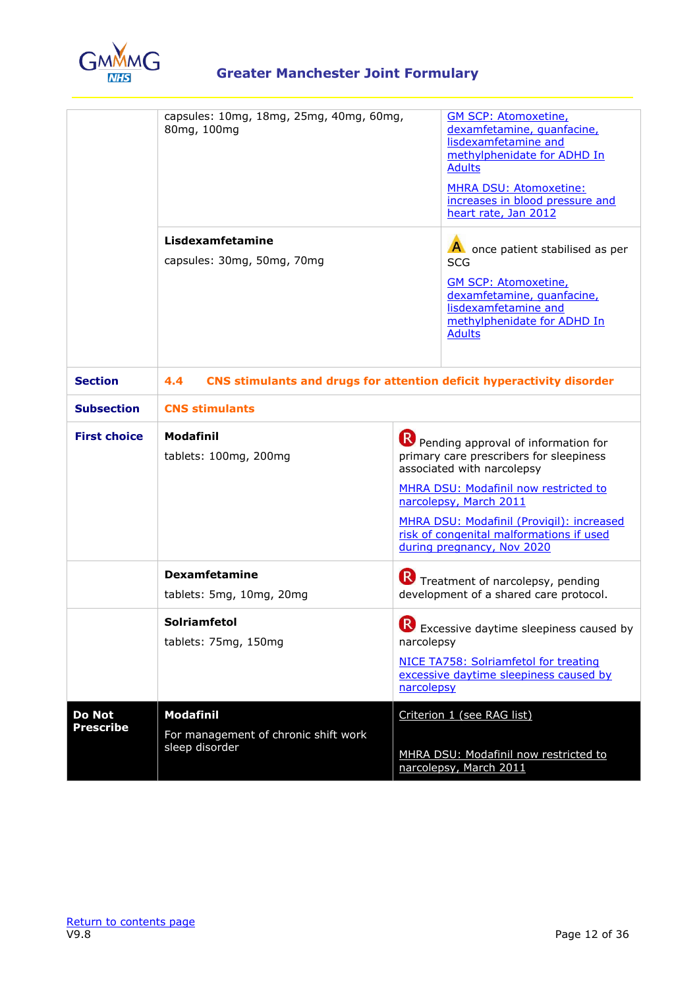

|                                   | capsules: 10mg, 18mg, 25mg, 40mg, 60mg,<br>80mg, 100mg                       | <b>GM SCP: Atomoxetine,</b><br>dexamfetamine, quanfacine,<br>lisdexamfetamine and<br>methylphenidate for ADHD In<br><b>Adults</b><br><b>MHRA DSU: Atomoxetine:</b><br>increases in blood pressure and<br>heart rate, Jan 2012                                                                          |  |
|-----------------------------------|------------------------------------------------------------------------------|--------------------------------------------------------------------------------------------------------------------------------------------------------------------------------------------------------------------------------------------------------------------------------------------------------|--|
|                                   | Lisdexamfetamine<br>capsules: 30mg, 50mg, 70mg                               | A once patient stabilised as per<br><b>SCG</b><br><b>GM SCP: Atomoxetine,</b><br>dexamfetamine, quanfacine,<br>lisdexamfetamine and<br>methylphenidate for ADHD In<br><b>Adults</b>                                                                                                                    |  |
| <b>Section</b>                    | 4.4<br>CNS stimulants and drugs for attention deficit hyperactivity disorder |                                                                                                                                                                                                                                                                                                        |  |
| <b>Subsection</b>                 | <b>CNS stimulants</b>                                                        |                                                                                                                                                                                                                                                                                                        |  |
| <b>First choice</b>               | <b>Modafinil</b><br>tablets: 100mg, 200mg                                    | Pending approval of information for<br>primary care prescribers for sleepiness<br>associated with narcolepsy<br>MHRA DSU: Modafinil now restricted to<br>narcolepsy, March 2011<br>MHRA DSU: Modafinil (Provigil): increased<br>risk of congenital malformations if used<br>during pregnancy, Nov 2020 |  |
|                                   | <b>Dexamfetamine</b><br>tablets: 5mg, 10mg, 20mg                             | R Treatment of narcolepsy, pending<br>development of a shared care protocol.                                                                                                                                                                                                                           |  |
|                                   | <b>Solriamfetol</b><br>tablets: 75mg, 150mg                                  | R)<br>Excessive daytime sleepiness caused by<br>narcolepsy<br>NICE TA758: Solriamfetol for treating<br>excessive daytime sleepiness caused by<br>narcolepsy                                                                                                                                            |  |
| <b>Do Not</b><br><b>Prescribe</b> | <b>Modafinil</b><br>For management of chronic shift work<br>sleep disorder   | Criterion 1 (see RAG list)<br>MHRA DSU: Modafinil now restricted to<br>narcolepsy, March 2011                                                                                                                                                                                                          |  |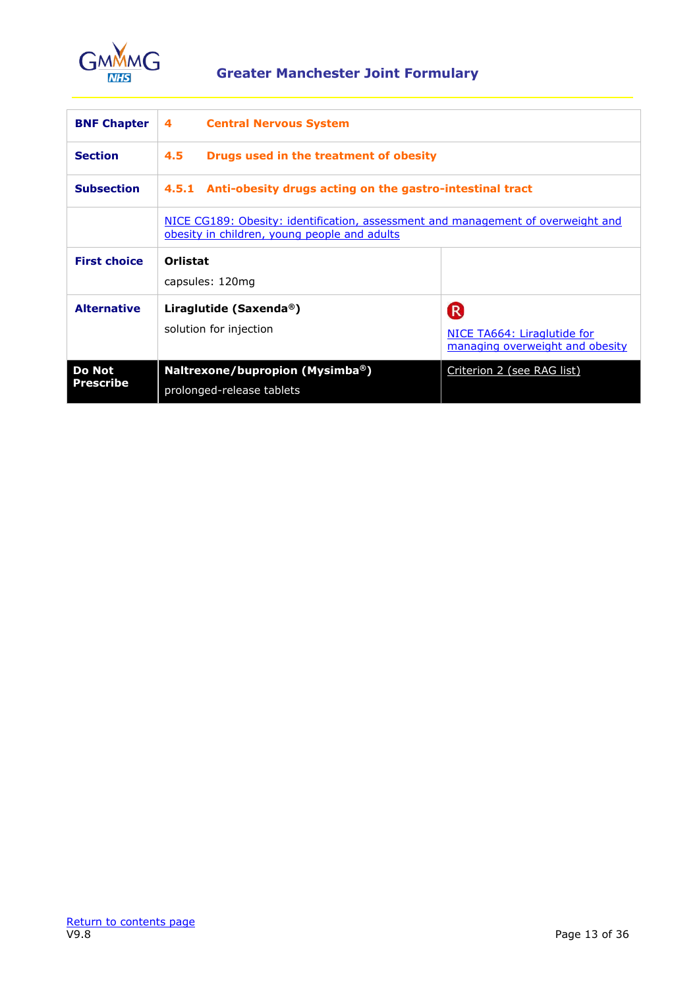

<span id="page-12-0"></span>

| <b>BNF Chapter</b>                | <b>Central Nervous System</b><br>4                                                                                               |                                                                       |  |
|-----------------------------------|----------------------------------------------------------------------------------------------------------------------------------|-----------------------------------------------------------------------|--|
| <b>Section</b>                    | $4.5^{\circ}$<br>Drugs used in the treatment of obesity                                                                          |                                                                       |  |
| <b>Subsection</b>                 | 4.5.1 Anti-obesity drugs acting on the gastro-intestinal tract                                                                   |                                                                       |  |
|                                   | NICE CG189: Obesity: identification, assessment and management of overweight and<br>obesity in children, young people and adults |                                                                       |  |
| <b>First choice</b>               | Orlistat<br>capsules: 120mg                                                                                                      |                                                                       |  |
| <b>Alternative</b>                | Liraglutide (Saxenda <sup>®</sup> )<br>solution for injection                                                                    | (R)<br>NICE TA664: Liraglutide for<br>managing overweight and obesity |  |
| <b>Do Not</b><br><b>Prescribe</b> | Naltrexone/bupropion (Mysimba®)<br>prolonged-release tablets                                                                     | Criterion 2 (see RAG list)                                            |  |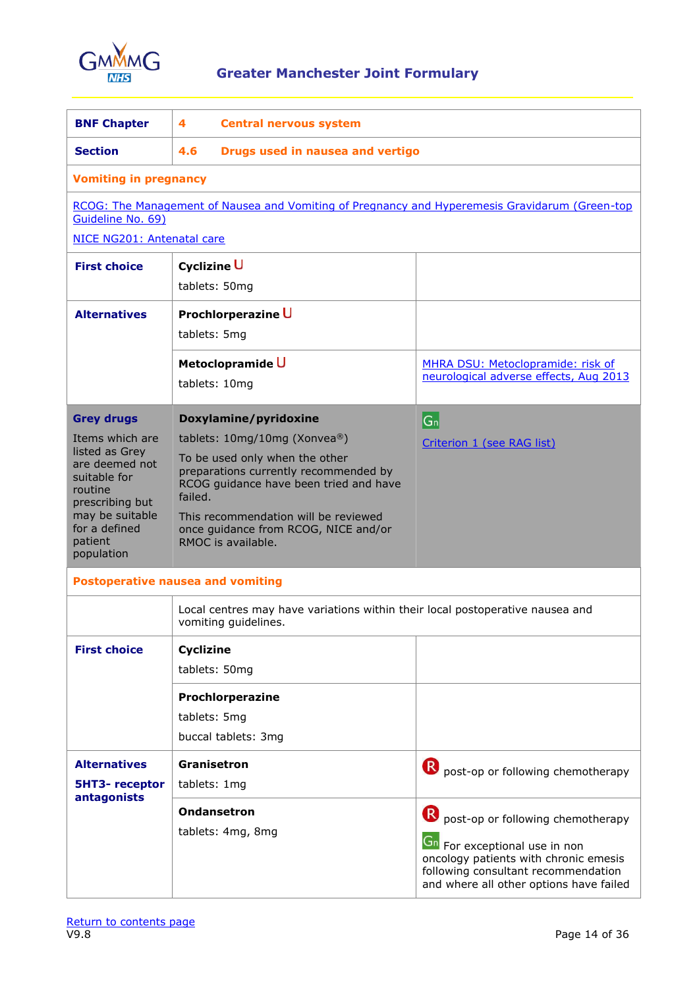

<span id="page-13-0"></span>

| <b>BNF Chapter</b>                                                                                                                                             | 4<br><b>Central nervous system</b>                                                                                                                                                                                                                                 |                                                                                                                                                                                                      |  |
|----------------------------------------------------------------------------------------------------------------------------------------------------------------|--------------------------------------------------------------------------------------------------------------------------------------------------------------------------------------------------------------------------------------------------------------------|------------------------------------------------------------------------------------------------------------------------------------------------------------------------------------------------------|--|
| <b>Section</b>                                                                                                                                                 | 4.6<br>Drugs used in nausea and vertigo                                                                                                                                                                                                                            |                                                                                                                                                                                                      |  |
| <b>Vomiting in pregnancy</b>                                                                                                                                   |                                                                                                                                                                                                                                                                    |                                                                                                                                                                                                      |  |
| Guideline No. 69)<br>NICE NG201: Antenatal care                                                                                                                | RCOG: The Management of Nausea and Vomiting of Pregnancy and Hyperemesis Gravidarum (Green-top                                                                                                                                                                     |                                                                                                                                                                                                      |  |
|                                                                                                                                                                |                                                                                                                                                                                                                                                                    |                                                                                                                                                                                                      |  |
| <b>First choice</b>                                                                                                                                            | <b>Cyclizine U</b><br>tablets: 50mg                                                                                                                                                                                                                                |                                                                                                                                                                                                      |  |
| <b>Alternatives</b>                                                                                                                                            | Prochlorperazine U<br>tablets: 5mg                                                                                                                                                                                                                                 |                                                                                                                                                                                                      |  |
|                                                                                                                                                                | Metoclopramide U<br>tablets: 10mg                                                                                                                                                                                                                                  | MHRA DSU: Metoclopramide: risk of<br>neurological adverse effects, Aug 2013                                                                                                                          |  |
| <b>Grey drugs</b>                                                                                                                                              | Doxylamine/pyridoxine                                                                                                                                                                                                                                              | $ G_n $                                                                                                                                                                                              |  |
| Items which are<br>listed as Grey<br>are deemed not<br>suitable for<br>routine<br>prescribing but<br>may be suitable<br>for a defined<br>patient<br>population | tablets: 10mg/10mg (Xonvea®)<br>To be used only when the other<br>preparations currently recommended by<br>RCOG guidance have been tried and have<br>failed.<br>This recommendation will be reviewed<br>once guidance from RCOG, NICE and/or<br>RMOC is available. | Criterion 1 (see RAG list)                                                                                                                                                                           |  |
|                                                                                                                                                                | <b>Postoperative nausea and vomiting</b>                                                                                                                                                                                                                           |                                                                                                                                                                                                      |  |
|                                                                                                                                                                | Local centres may have variations within their local postoperative nausea and<br>vomiting guidelines.                                                                                                                                                              |                                                                                                                                                                                                      |  |
| <b>First choice</b>                                                                                                                                            | Cyclizine<br>tablets: 50mg                                                                                                                                                                                                                                         |                                                                                                                                                                                                      |  |
|                                                                                                                                                                | Prochlorperazine<br>tablets: 5mg<br>buccal tablets: 3mg                                                                                                                                                                                                            |                                                                                                                                                                                                      |  |
| <b>Alternatives</b>                                                                                                                                            | Granisetron                                                                                                                                                                                                                                                        | R<br>post-op or following chemotherapy                                                                                                                                                               |  |
| <b>5HT3-receptor</b>                                                                                                                                           | tablets: 1mg                                                                                                                                                                                                                                                       |                                                                                                                                                                                                      |  |
| antagonists                                                                                                                                                    | <b>Ondansetron</b><br>tablets: 4mg, 8mg                                                                                                                                                                                                                            | post-op or following chemotherapy<br><b>Gn</b> For exceptional use in non<br>oncology patients with chronic emesis<br>following consultant recommendation<br>and where all other options have failed |  |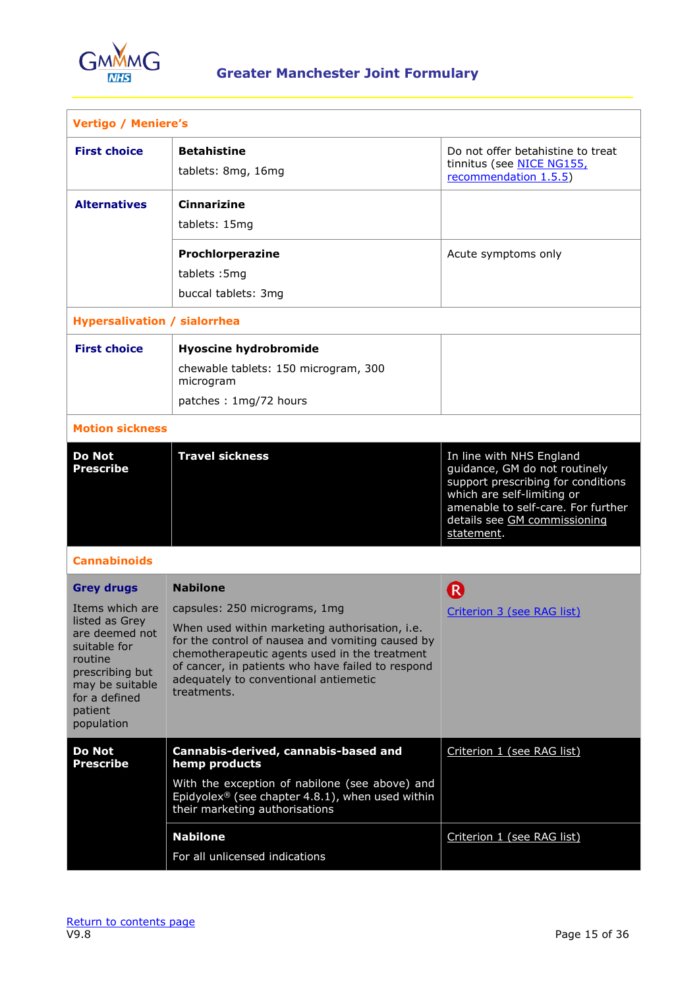

| <b>Vertigo / Meniere's</b>                                                                                                                                                          |                                                                                                                                                                                                                                                                                                                      |                                                                                                                                                                                                                   |  |
|-------------------------------------------------------------------------------------------------------------------------------------------------------------------------------------|----------------------------------------------------------------------------------------------------------------------------------------------------------------------------------------------------------------------------------------------------------------------------------------------------------------------|-------------------------------------------------------------------------------------------------------------------------------------------------------------------------------------------------------------------|--|
| <b>First choice</b>                                                                                                                                                                 | <b>Betahistine</b><br>tablets: 8mg, 16mg                                                                                                                                                                                                                                                                             | Do not offer betahistine to treat<br>tinnitus (see NICE NG155,<br>recommendation 1.5.5)                                                                                                                           |  |
| <b>Alternatives</b>                                                                                                                                                                 | <b>Cinnarizine</b><br>tablets: 15mg                                                                                                                                                                                                                                                                                  |                                                                                                                                                                                                                   |  |
|                                                                                                                                                                                     | Prochlorperazine<br>tablets: 5mg<br>buccal tablets: 3mg                                                                                                                                                                                                                                                              | Acute symptoms only                                                                                                                                                                                               |  |
| <b>Hypersalivation / sialorrhea</b>                                                                                                                                                 |                                                                                                                                                                                                                                                                                                                      |                                                                                                                                                                                                                   |  |
| <b>First choice</b>                                                                                                                                                                 | <b>Hyoscine hydrobromide</b><br>chewable tablets: 150 microgram, 300<br>microgram<br>patches: 1mg/72 hours                                                                                                                                                                                                           |                                                                                                                                                                                                                   |  |
| <b>Motion sickness</b>                                                                                                                                                              |                                                                                                                                                                                                                                                                                                                      |                                                                                                                                                                                                                   |  |
| <b>Do Not</b><br><b>Prescribe</b>                                                                                                                                                   | <b>Travel sickness</b>                                                                                                                                                                                                                                                                                               | In line with NHS England<br>guidance, GM do not routinely<br>support prescribing for conditions<br>which are self-limiting or<br>amenable to self-care. For further<br>details see GM commissioning<br>statement. |  |
| <b>Cannabinoids</b>                                                                                                                                                                 |                                                                                                                                                                                                                                                                                                                      |                                                                                                                                                                                                                   |  |
| <b>Grey drugs</b><br>Items which are<br>listed as Grey<br>are deemed not<br>suitable for<br>routine<br>prescribing but<br>may be suitable<br>for a defined<br>patient<br>population | <b>Nabilone</b><br>capsules: 250 micrograms, 1mg<br>When used within marketing authorisation, i.e.<br>for the control of nausea and vomiting caused by<br>chemotherapeutic agents used in the treatment<br>of cancer, in patients who have failed to respond<br>adequately to conventional antiemetic<br>treatments. | R<br>Criterion 3 (see RAG list)                                                                                                                                                                                   |  |
| <b>Do Not</b><br><b>Prescribe</b>                                                                                                                                                   | Cannabis-derived, cannabis-based and<br>hemp products<br>With the exception of nabilone (see above) and<br>Epidyolex® (see chapter 4.8.1), when used within<br>their marketing authorisations                                                                                                                        | Criterion 1 (see RAG list)                                                                                                                                                                                        |  |
|                                                                                                                                                                                     | <b>Nabilone</b><br>For all unlicensed indications                                                                                                                                                                                                                                                                    | Criterion 1 (see RAG list)                                                                                                                                                                                        |  |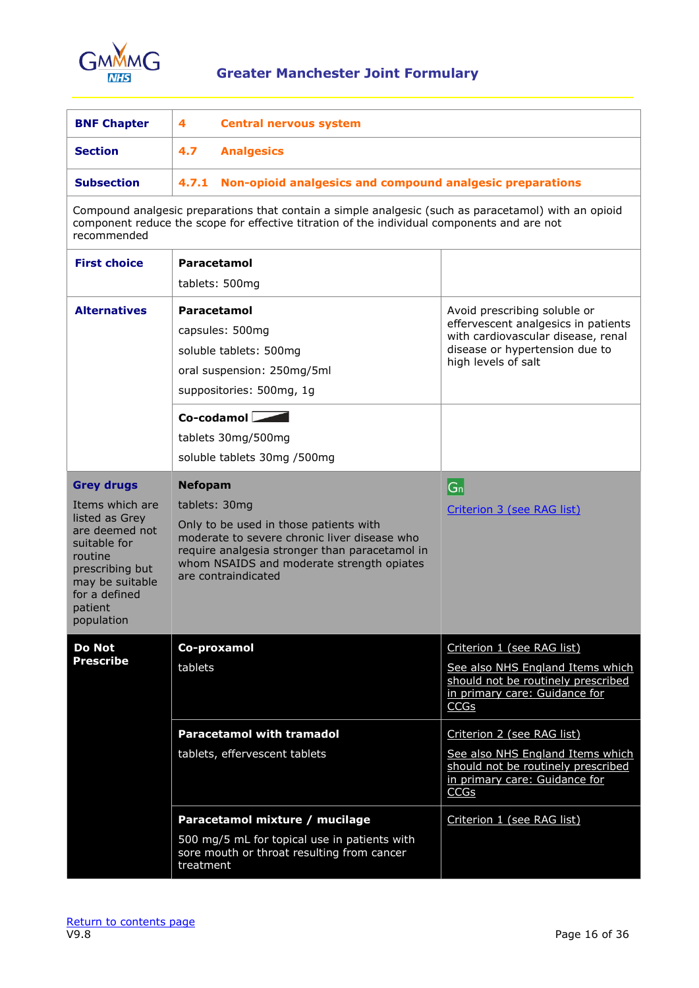

<span id="page-15-0"></span>

| <b>BNF Chapter</b>                                                                                                                                                                  | 4<br><b>Central nervous system</b>                                                                                                                                                                                                              |                                                                                                                                                                    |  |
|-------------------------------------------------------------------------------------------------------------------------------------------------------------------------------------|-------------------------------------------------------------------------------------------------------------------------------------------------------------------------------------------------------------------------------------------------|--------------------------------------------------------------------------------------------------------------------------------------------------------------------|--|
| <b>Section</b>                                                                                                                                                                      | 4.7<br><b>Analgesics</b>                                                                                                                                                                                                                        |                                                                                                                                                                    |  |
| <b>Subsection</b>                                                                                                                                                                   | 4.7.1 Non-opioid analgesics and compound analgesic preparations                                                                                                                                                                                 |                                                                                                                                                                    |  |
| recommended                                                                                                                                                                         | Compound analgesic preparations that contain a simple analgesic (such as paracetamol) with an opioid<br>component reduce the scope for effective titration of the individual components and are not                                             |                                                                                                                                                                    |  |
| <b>First choice</b>                                                                                                                                                                 | Paracetamol                                                                                                                                                                                                                                     |                                                                                                                                                                    |  |
|                                                                                                                                                                                     | tablets: 500mg                                                                                                                                                                                                                                  |                                                                                                                                                                    |  |
| <b>Alternatives</b>                                                                                                                                                                 | Paracetamol<br>capsules: 500mg<br>soluble tablets: 500mg<br>oral suspension: 250mg/5ml<br>suppositories: 500mg, 1g                                                                                                                              | Avoid prescribing soluble or<br>effervescent analgesics in patients<br>with cardiovascular disease, renal<br>disease or hypertension due to<br>high levels of salt |  |
|                                                                                                                                                                                     | $Co$ -codamol $\Box$<br>tablets 30mg/500mg<br>soluble tablets 30mg /500mg                                                                                                                                                                       |                                                                                                                                                                    |  |
| <b>Grey drugs</b><br>Items which are<br>listed as Grey<br>are deemed not<br>suitable for<br>routine<br>prescribing but<br>may be suitable<br>for a defined<br>patient<br>population | <b>Nefopam</b><br>tablets: 30mg<br>Only to be used in those patients with<br>moderate to severe chronic liver disease who<br>require analgesia stronger than paracetamol in<br>whom NSAIDS and moderate strength opiates<br>are contraindicated | $ G_n $<br>Criterion 3 (see RAG list)                                                                                                                              |  |
| <b>Do Not</b><br><b>Prescribe</b>                                                                                                                                                   | Co-proxamol<br>tablets                                                                                                                                                                                                                          | Criterion 1 (see RAG list)<br>See also NHS England Items which<br>should not be routinely prescribed<br>in primary care: Guidance for<br>CCGs                      |  |
|                                                                                                                                                                                     | <b>Paracetamol with tramadol</b><br>tablets, effervescent tablets                                                                                                                                                                               | Criterion 2 (see RAG list)<br>See also NHS England Items which<br>should not be routinely prescribed<br>in primary care: Guidance for<br>CCGs                      |  |
|                                                                                                                                                                                     | Paracetamol mixture / mucilage<br>500 mg/5 mL for topical use in patients with<br>sore mouth or throat resulting from cancer<br>treatment                                                                                                       | Criterion 1 (see RAG list)                                                                                                                                         |  |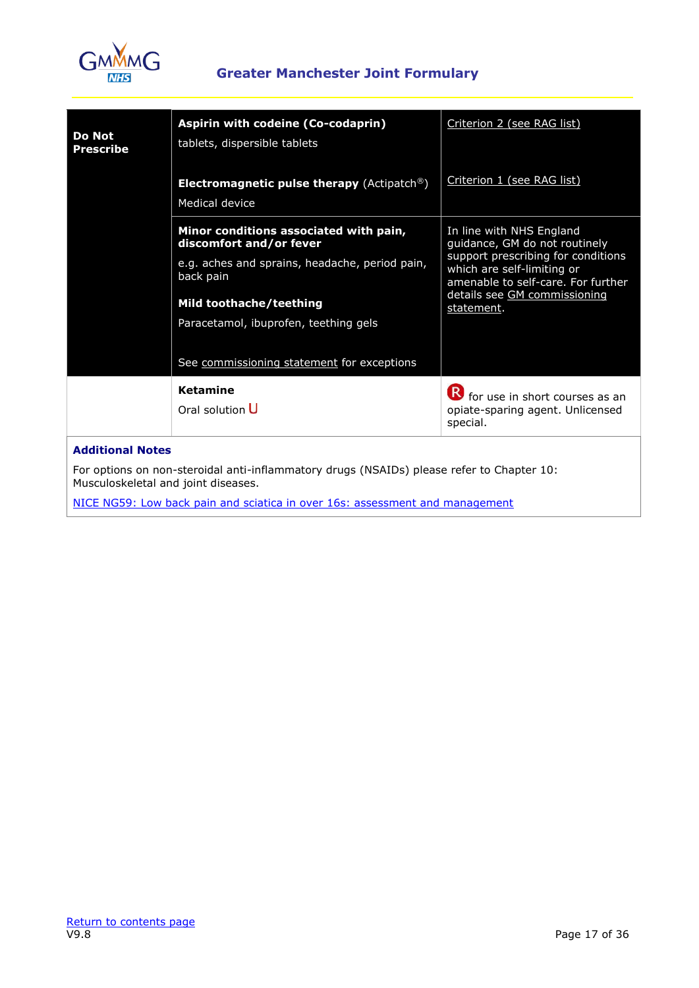

| <b>Do Not</b><br><b>Prescribe</b>                              | Aspirin with codeine (Co-codaprin)<br>tablets, dispersible tablets                                                                                                                                                                                 | Criterion 2 (see RAG list)                                                                                                                                                                                        |
|----------------------------------------------------------------|----------------------------------------------------------------------------------------------------------------------------------------------------------------------------------------------------------------------------------------------------|-------------------------------------------------------------------------------------------------------------------------------------------------------------------------------------------------------------------|
|                                                                | <b>Electromagnetic pulse therapy</b> (Actipatch <sup>®</sup> )<br>Medical device                                                                                                                                                                   | Criterion 1 (see RAG list)                                                                                                                                                                                        |
|                                                                | Minor conditions associated with pain,<br>discomfort and/or fever<br>e.g. aches and sprains, headache, period pain,<br>back pain<br>Mild toothache/teething<br>Paracetamol, ibuprofen, teething gels<br>See commissioning statement for exceptions | In line with NHS England<br>guidance, GM do not routinely<br>support prescribing for conditions<br>which are self-limiting or<br>amenable to self-care. For further<br>details see GM commissioning<br>statement. |
|                                                                | <b>Ketamine</b><br>Oral solution U                                                                                                                                                                                                                 | <b>R</b> for use in short courses as an<br>opiate-sparing agent. Unlicensed<br>special.                                                                                                                           |
| <b>Additional Notes</b><br>Musculoskeletal and joint diseases. | For options on non-steroidal anti-inflammatory drugs (NSAIDs) please refer to Chapter 10:                                                                                                                                                          |                                                                                                                                                                                                                   |

[NICE NG59: Low back pain and sciatica in over 16s: assessment and management](https://www.nice.org.uk/guidance/ng59/chapter/Recommendations#/assessment-of-low-back-pain-and-sciatica)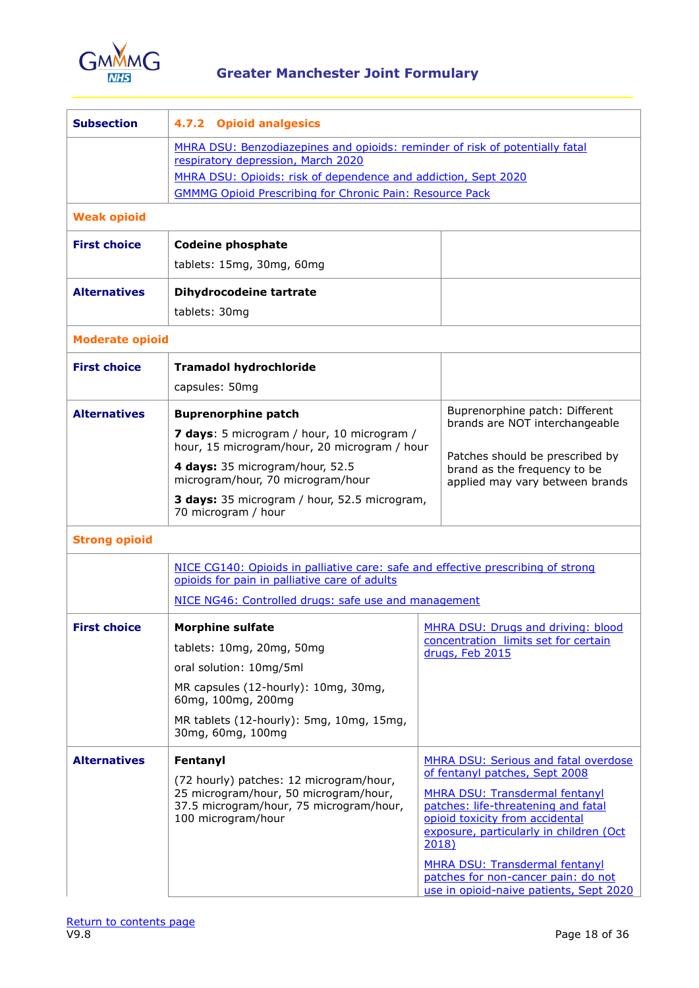

| <b>Subsection</b>      | 4.7.2<br><b>Opioid analgesics</b>                                                                                                                                                                                                                                       |                 |                                                                                                                                                                                                                                                                                                                                                                        |  |
|------------------------|-------------------------------------------------------------------------------------------------------------------------------------------------------------------------------------------------------------------------------------------------------------------------|-----------------|------------------------------------------------------------------------------------------------------------------------------------------------------------------------------------------------------------------------------------------------------------------------------------------------------------------------------------------------------------------------|--|
|                        | MHRA DSU: Benzodiazepines and opioids: reminder of risk of potentially fatal<br>respiratory depression, March 2020<br>MHRA DSU: Opioids: risk of dependence and addiction, Sept 2020<br><b>GMMMG Opioid Prescribing for Chronic Pain: Resource Pack</b>                 |                 |                                                                                                                                                                                                                                                                                                                                                                        |  |
| <b>Weak opioid</b>     |                                                                                                                                                                                                                                                                         |                 |                                                                                                                                                                                                                                                                                                                                                                        |  |
| <b>First choice</b>    | <b>Codeine phosphate</b><br>tablets: 15mg, 30mg, 60mg                                                                                                                                                                                                                   |                 |                                                                                                                                                                                                                                                                                                                                                                        |  |
| <b>Alternatives</b>    | Dihydrocodeine tartrate<br>tablets: 30mg                                                                                                                                                                                                                                |                 |                                                                                                                                                                                                                                                                                                                                                                        |  |
| <b>Moderate opioid</b> |                                                                                                                                                                                                                                                                         |                 |                                                                                                                                                                                                                                                                                                                                                                        |  |
| <b>First choice</b>    | <b>Tramadol hydrochloride</b><br>capsules: 50mg                                                                                                                                                                                                                         |                 |                                                                                                                                                                                                                                                                                                                                                                        |  |
| <b>Alternatives</b>    | <b>Buprenorphine patch</b><br>7 days: 5 microgram / hour, 10 microgram /<br>hour, 15 microgram/hour, 20 microgram / hour<br>4 days: 35 microgram/hour, 52.5<br>microgram/hour, 70 microgram/hour<br>3 days: 35 microgram / hour, 52.5 microgram,<br>70 microgram / hour |                 | Buprenorphine patch: Different<br>brands are NOT interchangeable<br>Patches should be prescribed by<br>brand as the frequency to be<br>applied may vary between brands                                                                                                                                                                                                 |  |
| <b>Strong opioid</b>   |                                                                                                                                                                                                                                                                         |                 |                                                                                                                                                                                                                                                                                                                                                                        |  |
|                        | NICE CG140: Opioids in palliative care: safe and effective prescribing of strong<br>opioids for pain in palliative care of adults<br>NICE NG46: Controlled drugs: safe use and management                                                                               |                 |                                                                                                                                                                                                                                                                                                                                                                        |  |
| <b>First choice</b>    | <b>Morphine sulfate</b><br>tablets: 10mg, 20mg, 50mg<br>oral solution: 10mg/5ml<br>MR capsules (12-hourly): 10mg, 30mg,<br>60mg, 100mg, 200mg<br>MR tablets (12-hourly): 5mg, 10mg, 15mg,<br>30mg, 60mg, 100mg                                                          | drugs, Feb 2015 | MHRA DSU: Drugs and driving: blood<br>concentration limits set for certain                                                                                                                                                                                                                                                                                             |  |
| <b>Alternatives</b>    | Fentanyl<br>(72 hourly) patches: 12 microgram/hour,<br>25 microgram/hour, 50 microgram/hour,<br>37.5 microgram/hour, 75 microgram/hour,<br>100 microgram/hour                                                                                                           | 2018)           | <b>MHRA DSU: Serious and fatal overdose</b><br>of fentanyl patches, Sept 2008<br><b>MHRA DSU: Transdermal fentanyl</b><br>patches: life-threatening and fatal<br>opioid toxicity from accidental<br>exposure, particularly in children (Oct<br><b>MHRA DSU: Transdermal fentanyl</b><br>patches for non-cancer pain: do not<br>use in opioid-naive patients, Sept 2020 |  |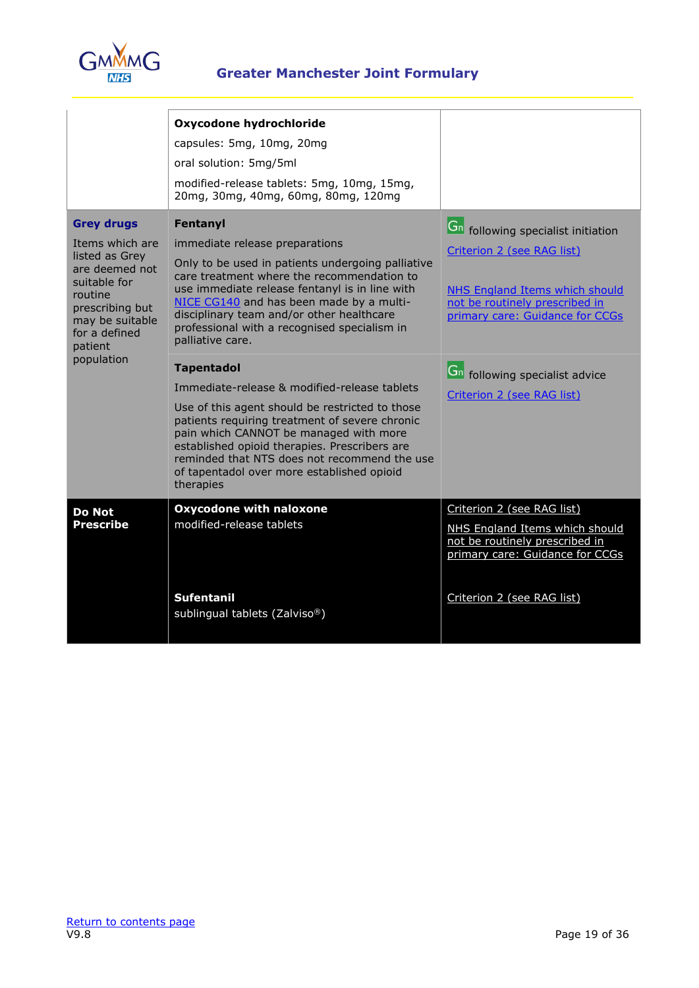

|                                                                                                                               | Oxycodone hydrochloride                                                                                                                                                                                                                                                                                        |                                                                                                     |
|-------------------------------------------------------------------------------------------------------------------------------|----------------------------------------------------------------------------------------------------------------------------------------------------------------------------------------------------------------------------------------------------------------------------------------------------------------|-----------------------------------------------------------------------------------------------------|
|                                                                                                                               | capsules: 5mg, 10mg, 20mg                                                                                                                                                                                                                                                                                      |                                                                                                     |
|                                                                                                                               | oral solution: 5mg/5ml                                                                                                                                                                                                                                                                                         |                                                                                                     |
|                                                                                                                               | modified-release tablets: 5mg, 10mg, 15mg,<br>20mg, 30mg, 40mg, 60mg, 80mg, 120mg                                                                                                                                                                                                                              |                                                                                                     |
| <b>Grey drugs</b>                                                                                                             | Fentanyl                                                                                                                                                                                                                                                                                                       | <b>Gn</b> following specialist initiation                                                           |
| Items which are                                                                                                               | immediate release preparations                                                                                                                                                                                                                                                                                 | Criterion 2 (see RAG list)                                                                          |
| listed as Grey<br>are deemed not<br>suitable for<br>routine<br>prescribing but<br>may be suitable<br>for a defined<br>patient | Only to be used in patients undergoing palliative<br>care treatment where the recommendation to<br>use immediate release fentanyl is in line with<br>NICE CG140 and has been made by a multi-<br>disciplinary team and/or other healthcare<br>professional with a recognised specialism in<br>palliative care. | NHS England Items which should<br>not be routinely prescribed in<br>primary care: Guidance for CCGs |
| population                                                                                                                    | <b>Tapentadol</b>                                                                                                                                                                                                                                                                                              | <b>Gn</b> following specialist advice                                                               |
|                                                                                                                               | Immediate-release & modified-release tablets                                                                                                                                                                                                                                                                   | Criterion 2 (see RAG list)                                                                          |
|                                                                                                                               | Use of this agent should be restricted to those<br>patients requiring treatment of severe chronic<br>pain which CANNOT be managed with more<br>established opioid therapies. Prescribers are<br>reminded that NTS does not recommend the use<br>of tapentadol over more established opioid<br>therapies        |                                                                                                     |
| <b>Do Not</b>                                                                                                                 | <b>Oxycodone with naloxone</b>                                                                                                                                                                                                                                                                                 | Criterion 2 (see RAG list)                                                                          |
| <b>Prescribe</b>                                                                                                              | modified-release tablets                                                                                                                                                                                                                                                                                       | NHS England Items which should<br>not be routinely prescribed in<br>primary care: Guidance for CCGs |
|                                                                                                                               | <b>Sufentanil</b><br>sublingual tablets (Zalviso®)                                                                                                                                                                                                                                                             | Criterion 2 (see RAG list)                                                                          |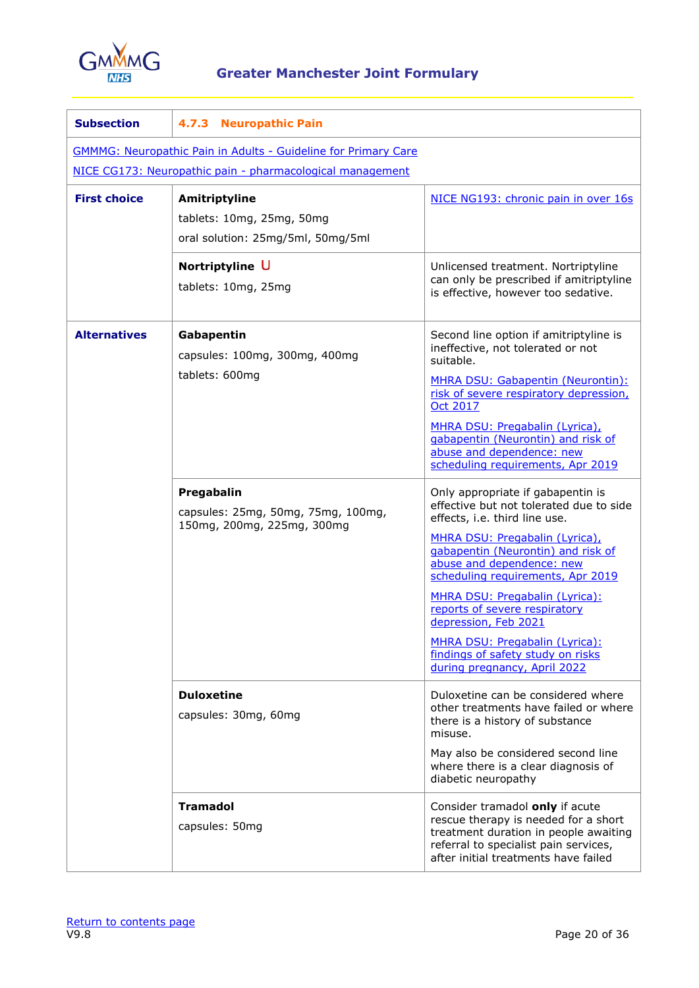

| <b>Subsection</b>                                                     | 4.7.3 Neuropathic Pain                                                          |                                                                                                                                                                                                                                                                                                                                                                                                                                                           |  |
|-----------------------------------------------------------------------|---------------------------------------------------------------------------------|-----------------------------------------------------------------------------------------------------------------------------------------------------------------------------------------------------------------------------------------------------------------------------------------------------------------------------------------------------------------------------------------------------------------------------------------------------------|--|
| <b>GMMMG: Neuropathic Pain in Adults - Guideline for Primary Care</b> |                                                                                 |                                                                                                                                                                                                                                                                                                                                                                                                                                                           |  |
|                                                                       | NICE CG173: Neuropathic pain - pharmacological management                       |                                                                                                                                                                                                                                                                                                                                                                                                                                                           |  |
| <b>First choice</b>                                                   | Amitriptyline<br>tablets: 10mg, 25mg, 50mg<br>oral solution: 25mg/5ml, 50mg/5ml | NICE NG193: chronic pain in over 16s                                                                                                                                                                                                                                                                                                                                                                                                                      |  |
|                                                                       | Nortriptyline U<br>tablets: 10mg, 25mg                                          | Unlicensed treatment. Nortriptyline<br>can only be prescribed if amitriptyline<br>is effective, however too sedative.                                                                                                                                                                                                                                                                                                                                     |  |
| <b>Alternatives</b>                                                   | Gabapentin<br>capsules: 100mg, 300mg, 400mg<br>tablets: 600mg                   | Second line option if amitriptyline is<br>ineffective, not tolerated or not<br>suitable.<br>MHRA DSU: Gabapentin (Neurontin):<br>risk of severe respiratory depression,<br>Oct 2017<br>MHRA DSU: Pregabalin (Lyrica),<br>gabapentin (Neurontin) and risk of<br>abuse and dependence: new<br>scheduling requirements, Apr 2019                                                                                                                             |  |
|                                                                       | Pregabalin<br>capsules: 25mg, 50mg, 75mg, 100mg,<br>150mg, 200mg, 225mg, 300mg  | Only appropriate if gabapentin is<br>effective but not tolerated due to side<br>effects, i.e. third line use.<br>MHRA DSU: Pregabalin (Lyrica),<br>gabapentin (Neurontin) and risk of<br>abuse and dependence: new<br>scheduling requirements, Apr 2019<br>MHRA DSU: Pregabalin (Lyrica):<br>reports of severe respiratory<br>depression, Feb 2021<br>MHRA DSU: Pregabalin (Lyrica):<br>findings of safety study on risks<br>during pregnancy, April 2022 |  |
|                                                                       | <b>Duloxetine</b><br>capsules: 30mg, 60mg                                       | Duloxetine can be considered where<br>other treatments have failed or where<br>there is a history of substance<br>misuse.<br>May also be considered second line<br>where there is a clear diagnosis of<br>diabetic neuropathy                                                                                                                                                                                                                             |  |
|                                                                       | <b>Tramadol</b><br>capsules: 50mg                                               | Consider tramadol only if acute<br>rescue therapy is needed for a short<br>treatment duration in people awaiting<br>referral to specialist pain services,<br>after initial treatments have failed                                                                                                                                                                                                                                                         |  |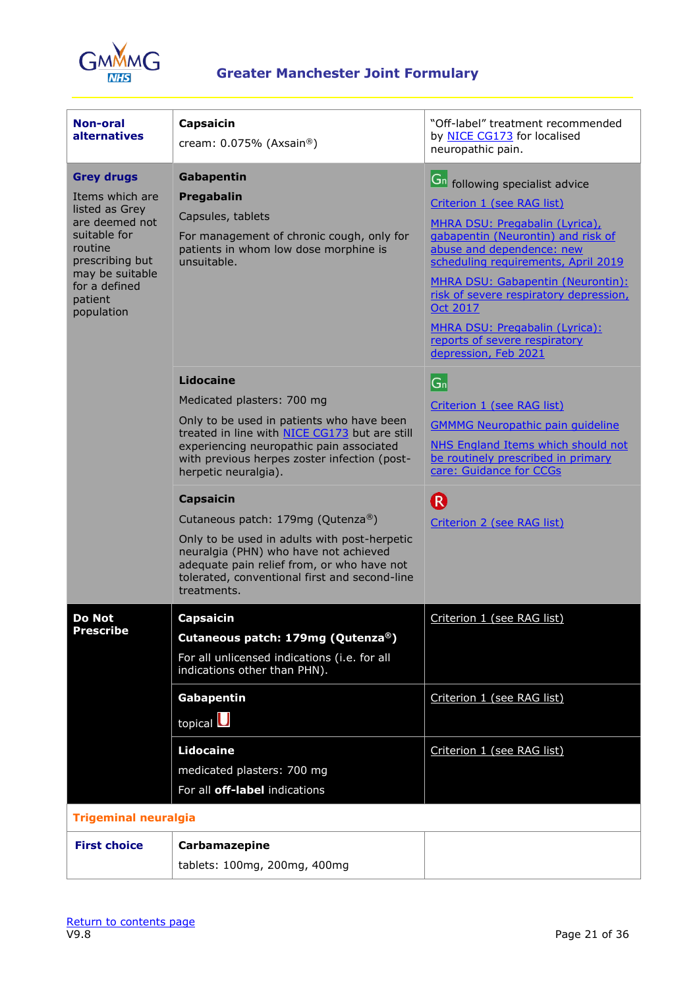

| Non-oral<br><b>alternatives</b>                                                                                                                                                                                                                                                                                                           | Capsaicin<br>cream: $0.075%$ (Axsain®)                                                                                                                                                                                                                                                                                                                                                                                                                                                                                    | "Off-label" treatment recommended<br>by NICE CG173 for localised<br>neuropathic pain.                                                                                                                                                                                                                                                                                                                        |
|-------------------------------------------------------------------------------------------------------------------------------------------------------------------------------------------------------------------------------------------------------------------------------------------------------------------------------------------|---------------------------------------------------------------------------------------------------------------------------------------------------------------------------------------------------------------------------------------------------------------------------------------------------------------------------------------------------------------------------------------------------------------------------------------------------------------------------------------------------------------------------|--------------------------------------------------------------------------------------------------------------------------------------------------------------------------------------------------------------------------------------------------------------------------------------------------------------------------------------------------------------------------------------------------------------|
| <b>Grey drugs</b><br>Gabapentin<br>Items which are<br>Pregabalin<br>listed as Grey<br>Capsules, tablets<br>are deemed not<br>suitable for<br>For management of chronic cough, only for<br>routine<br>patients in whom low dose morphine is<br>prescribing but<br>unsuitable.<br>may be suitable<br>for a defined<br>patient<br>population |                                                                                                                                                                                                                                                                                                                                                                                                                                                                                                                           | <b>Gn</b> following specialist advice<br>Criterion 1 (see RAG list)<br>MHRA DSU: Pregabalin (Lyrica),<br>gabapentin (Neurontin) and risk of<br>abuse and dependence: new<br>scheduling requirements, April 2019<br>MHRA DSU: Gabapentin (Neurontin):<br>risk of severe respiratory depression,<br><b>Oct 2017</b><br>MHRA DSU: Pregabalin (Lyrica):<br>reports of severe respiratory<br>depression, Feb 2021 |
|                                                                                                                                                                                                                                                                                                                                           | Lidocaine<br>Medicated plasters: 700 mg<br>Only to be used in patients who have been<br>treated in line with NICE CG173 but are still<br>experiencing neuropathic pain associated<br>with previous herpes zoster infection (post-<br>herpetic neuralgia).<br><b>Capsaicin</b><br>Cutaneous patch: 179mg (Qutenza®)<br>Only to be used in adults with post-herpetic<br>neuralgia (PHN) who have not achieved<br>adequate pain relief from, or who have not<br>tolerated, conventional first and second-line<br>treatments. | $ G_n $<br>Criterion 1 (see RAG list)<br><b>GMMMG Neuropathic pain quideline</b><br>NHS England Items which should not<br>be routinely prescribed in primary<br>care: Guidance for CCGs<br>R<br>Criterion 2 (see RAG list)                                                                                                                                                                                   |
| <b>Do Not</b><br><b>Prescribe</b>                                                                                                                                                                                                                                                                                                         | <b>Capsaicin</b><br>Cutaneous patch: 179mg (Qutenza®)<br>For all unlicensed indications (i.e. for all<br>indications other than PHN).<br><b>Gabapentin</b><br>topical $\bigcup$<br><b>Lidocaine</b>                                                                                                                                                                                                                                                                                                                       | Criterion 1 (see RAG list)<br>Criterion 1 (see RAG list)<br>Criterion 1 (see RAG list)                                                                                                                                                                                                                                                                                                                       |
| <b>Trigeminal neuralgia</b>                                                                                                                                                                                                                                                                                                               | medicated plasters: 700 mg<br>For all off-label indications                                                                                                                                                                                                                                                                                                                                                                                                                                                               |                                                                                                                                                                                                                                                                                                                                                                                                              |
| <b>First choice</b>                                                                                                                                                                                                                                                                                                                       | Carbamazepine<br>tablets: 100mg, 200mg, 400mg                                                                                                                                                                                                                                                                                                                                                                                                                                                                             |                                                                                                                                                                                                                                                                                                                                                                                                              |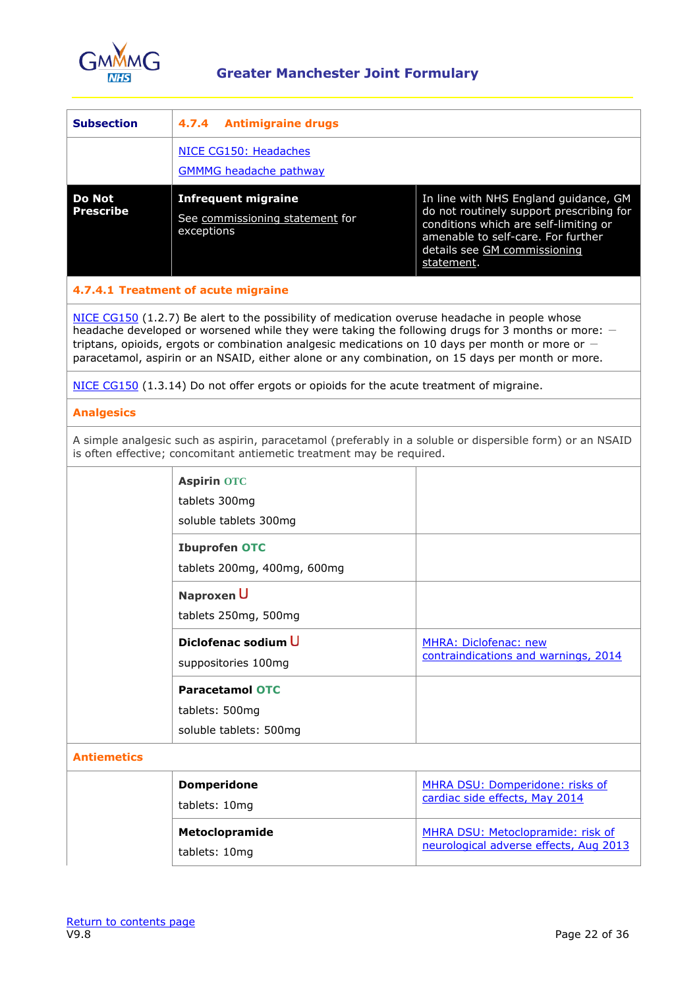

| <b>Subsection</b>                 | <b>Antimigraine drugs</b><br>4.7.4                                                                                                                                                                                                                                                                                                                                                                           |                                        |  |
|-----------------------------------|--------------------------------------------------------------------------------------------------------------------------------------------------------------------------------------------------------------------------------------------------------------------------------------------------------------------------------------------------------------------------------------------------------------|----------------------------------------|--|
|                                   | NICE CG150: Headaches                                                                                                                                                                                                                                                                                                                                                                                        |                                        |  |
|                                   | <b>GMMMG headache pathway</b>                                                                                                                                                                                                                                                                                                                                                                                |                                        |  |
| <b>Do Not</b><br><b>Prescribe</b> | <b>Infrequent migraine</b><br>In line with NHS England guidance, GM<br>do not routinely support prescribing for<br>See commissioning statement for<br>conditions which are self-limiting or<br>exceptions<br>amenable to self-care. For further<br>details see GM commissioning<br>statement.                                                                                                                |                                        |  |
|                                   | 4.7.4.1 Treatment of acute migraine                                                                                                                                                                                                                                                                                                                                                                          |                                        |  |
|                                   | NICE CG150 (1.2.7) Be alert to the possibility of medication overuse headache in people whose<br>headache developed or worsened while they were taking the following drugs for 3 months or more: -<br>triptans, opioids, ergots or combination analgesic medications on 10 days per month or more or $-$<br>paracetamol, aspirin or an NSAID, either alone or any combination, on 15 days per month or more. |                                        |  |
|                                   | NICE CG150 (1.3.14) Do not offer ergots or opioids for the acute treatment of migraine.                                                                                                                                                                                                                                                                                                                      |                                        |  |
| <b>Analgesics</b>                 |                                                                                                                                                                                                                                                                                                                                                                                                              |                                        |  |
|                                   | A simple analgesic such as aspirin, paracetamol (preferably in a soluble or dispersible form) or an NSAID<br>is often effective; concomitant antiemetic treatment may be required.                                                                                                                                                                                                                           |                                        |  |
|                                   | <b>Aspirin OTC</b>                                                                                                                                                                                                                                                                                                                                                                                           |                                        |  |
|                                   | tablets 300mg                                                                                                                                                                                                                                                                                                                                                                                                |                                        |  |
|                                   | soluble tablets 300mg                                                                                                                                                                                                                                                                                                                                                                                        |                                        |  |
|                                   | <b>Ibuprofen OTC</b>                                                                                                                                                                                                                                                                                                                                                                                         |                                        |  |
|                                   | tablets 200mg, 400mg, 600mg                                                                                                                                                                                                                                                                                                                                                                                  |                                        |  |
|                                   | Naproxen U                                                                                                                                                                                                                                                                                                                                                                                                   |                                        |  |
|                                   | tablets 250mg, 500mg                                                                                                                                                                                                                                                                                                                                                                                         |                                        |  |
|                                   | Diclofenac sodium U                                                                                                                                                                                                                                                                                                                                                                                          | MHRA: Diclofenac: new                  |  |
|                                   | suppositories 100mg                                                                                                                                                                                                                                                                                                                                                                                          | contraindications and warnings, 2014   |  |
|                                   | <b>Paracetamol OTC</b>                                                                                                                                                                                                                                                                                                                                                                                       |                                        |  |
|                                   | tablets: 500mg                                                                                                                                                                                                                                                                                                                                                                                               |                                        |  |
|                                   | soluble tablets: 500mg                                                                                                                                                                                                                                                                                                                                                                                       |                                        |  |
| <b>Antiemetics</b>                |                                                                                                                                                                                                                                                                                                                                                                                                              |                                        |  |
|                                   | <b>Domperidone</b>                                                                                                                                                                                                                                                                                                                                                                                           | MHRA DSU: Domperidone: risks of        |  |
|                                   | tablets: 10mg                                                                                                                                                                                                                                                                                                                                                                                                | cardiac side effects, May 2014         |  |
|                                   | Metoclopramide                                                                                                                                                                                                                                                                                                                                                                                               | MHRA DSU: Metoclopramide: risk of      |  |
|                                   | tablets: 10mg                                                                                                                                                                                                                                                                                                                                                                                                | neurological adverse effects, Aug 2013 |  |
|                                   |                                                                                                                                                                                                                                                                                                                                                                                                              |                                        |  |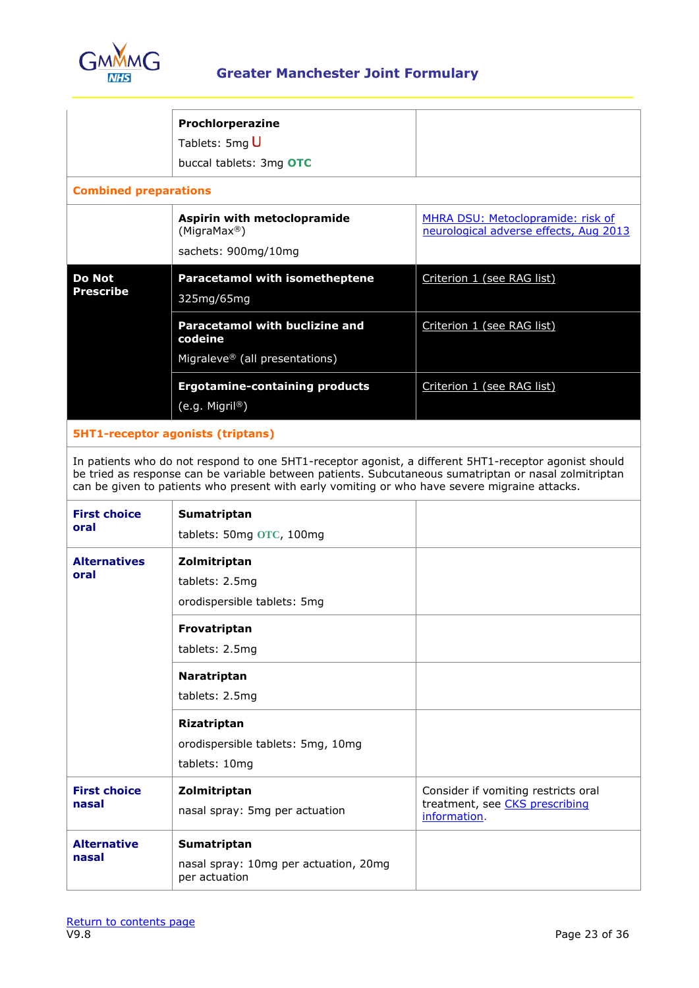

|                                   | Prochlorperazine<br>Tablets: 5mg U<br>buccal tablets: 3mg OTC                      |                                                                                    |
|-----------------------------------|------------------------------------------------------------------------------------|------------------------------------------------------------------------------------|
| <b>Combined preparations</b>      |                                                                                    |                                                                                    |
|                                   | Aspirin with metoclopramide<br>(MigraMax <sup>®</sup> )<br>sachets: 900mg/10mg     | <b>MHRA DSU: Metoclopramide: risk of</b><br>neurological adverse effects, Aug 2013 |
| <b>Do Not</b><br><b>Prescribe</b> | <b>Paracetamol with isometheptene</b><br>325mg/65mg                                | Criterion 1 (see RAG list)                                                         |
|                                   | <b>Paracetamol with buclizine and</b><br>codeine<br>Migraleve® (all presentations) | Criterion 1 (see RAG list)                                                         |
|                                   | <b>Ergotamine-containing products</b><br>$(e.g.$ Migril <sup>®</sup> )             | Criterion 1 (see RAG list)                                                         |

### **5HT1-receptor agonists (triptans)**

In patients who do not respond to one 5HT1-receptor agonist, a different 5HT1-receptor agonist should be tried as response can be variable between patients. Subcutaneous sumatriptan or nasal zolmitriptan can be given to patients who present with early vomiting or who have severe migraine attacks.

| <b>First choice</b><br>oral  | Sumatriptan<br>tablets: 50mg OTC, 100mg                               |                                                                                       |
|------------------------------|-----------------------------------------------------------------------|---------------------------------------------------------------------------------------|
| <b>Alternatives</b><br>oral  | Zolmitriptan<br>tablets: 2.5mg<br>orodispersible tablets: 5mg         |                                                                                       |
|                              | Frovatriptan<br>tablets: 2.5mg                                        |                                                                                       |
|                              | Naratriptan<br>tablets: 2.5mg                                         |                                                                                       |
|                              | Rizatriptan<br>orodispersible tablets: 5mg, 10mg<br>tablets: 10mg     |                                                                                       |
| <b>First choice</b><br>nasal | Zolmitriptan<br>nasal spray: 5mg per actuation                        | Consider if vomiting restricts oral<br>treatment, see CKS prescribing<br>information. |
| <b>Alternative</b><br>nasal  | Sumatriptan<br>nasal spray: 10mg per actuation, 20mg<br>per actuation |                                                                                       |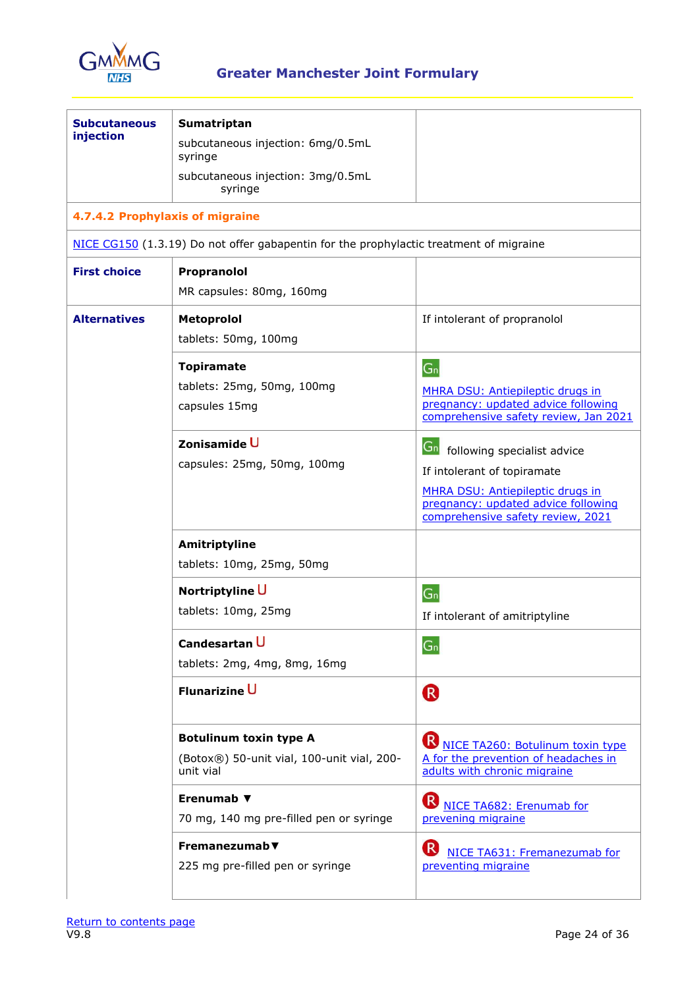

| <b>Subcutaneous</b><br>injection<br>4.7.4.2 Prophylaxis of migraine<br><b>First choice</b> | Sumatriptan<br>subcutaneous injection: 6mg/0.5mL<br>syringe<br>subcutaneous injection: 3mg/0.5mL<br>syringe<br>NICE CG150 (1.3.19) Do not offer gabapentin for the prophylactic treatment of migraine<br>Propranolol<br>MR capsules: 80mg, 160mg |                                                                                                                                                                                      |
|--------------------------------------------------------------------------------------------|--------------------------------------------------------------------------------------------------------------------------------------------------------------------------------------------------------------------------------------------------|--------------------------------------------------------------------------------------------------------------------------------------------------------------------------------------|
| <b>Alternatives</b>                                                                        | Metoprolol<br>tablets: 50mg, 100mg                                                                                                                                                                                                               | If intolerant of propranolol                                                                                                                                                         |
|                                                                                            | <b>Topiramate</b><br>tablets: 25mg, 50mg, 100mg<br>capsules 15mg                                                                                                                                                                                 | $G_n$<br><b>MHRA DSU: Antiepileptic drugs in</b><br>pregnancy: updated advice following<br>comprehensive safety review, Jan 2021                                                     |
|                                                                                            | Zonisamide U<br>capsules: 25mg, 50mg, 100mg                                                                                                                                                                                                      | Gn following specialist advice<br>If intolerant of topiramate<br><b>MHRA DSU: Antiepileptic drugs in</b><br>pregnancy: updated advice following<br>comprehensive safety review, 2021 |
|                                                                                            | Amitriptyline<br>tablets: 10mg, 25mg, 50mg                                                                                                                                                                                                       |                                                                                                                                                                                      |
|                                                                                            | Nortriptyline U<br>tablets: 10mg, 25mg                                                                                                                                                                                                           | $G_n$<br>If intolerant of amitriptyline                                                                                                                                              |
|                                                                                            | Candesartan U<br>tablets: 2mg, 4mg, 8mg, 16mg                                                                                                                                                                                                    | $G_n$                                                                                                                                                                                |
|                                                                                            | Flunarizine U                                                                                                                                                                                                                                    | R                                                                                                                                                                                    |
|                                                                                            | <b>Botulinum toxin type A</b><br>(Botox®) 50-unit vial, 100-unit vial, 200-<br>unit vial                                                                                                                                                         | <b>B</b> NICE TA260: Botulinum toxin type<br>A for the prevention of headaches in<br>adults with chronic migraine                                                                    |
|                                                                                            | Erenumab ▼<br>70 mg, 140 mg pre-filled pen or syringe                                                                                                                                                                                            | $\left( \mathsf{R}\right)$<br>NICE TA682: Erenumab for<br>prevening migraine                                                                                                         |
|                                                                                            | Fremanezumab $\blacktriangledown$<br>225 mg pre-filled pen or syringe                                                                                                                                                                            | $\mathsf{R}$<br>NICE TA631: Fremanezumab for<br>preventing migraine                                                                                                                  |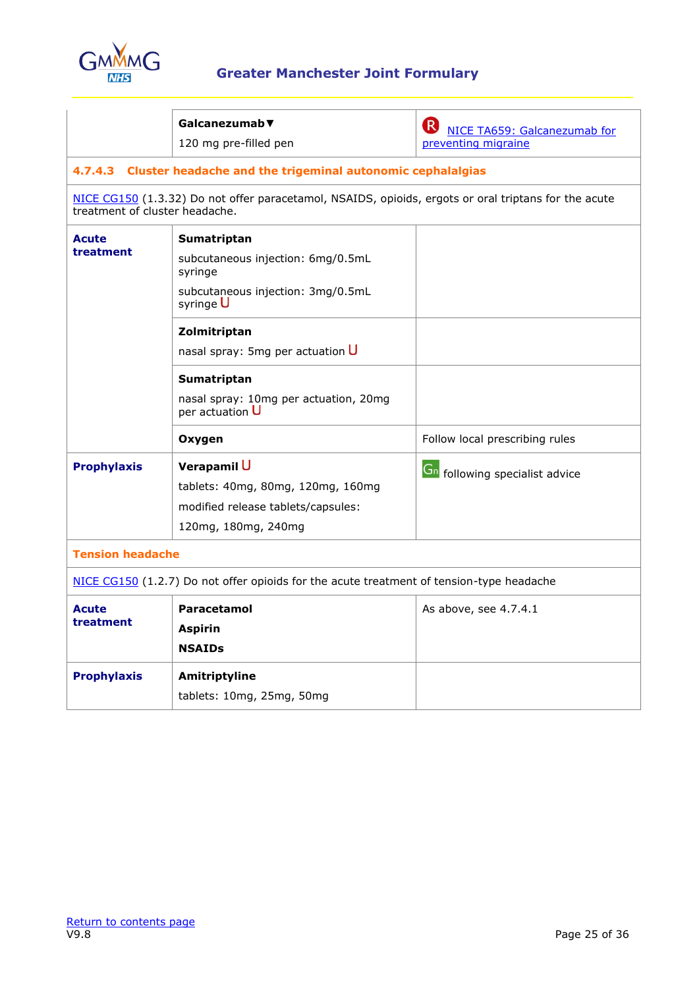

|                                                                                          | Galcanezumab▼<br>120 mg pre-filled pen                                                                        | $(\mathsf{R}% )^{2k}$<br>NICE TA659: Galcanezumab for<br>preventing migraine |
|------------------------------------------------------------------------------------------|---------------------------------------------------------------------------------------------------------------|------------------------------------------------------------------------------|
|                                                                                          | 4.7.4.3 Cluster headache and the trigeminal autonomic cephalalgias                                            |                                                                              |
| treatment of cluster headache.                                                           | NICE CG150 (1.3.32) Do not offer paracetamol, NSAIDS, opioids, ergots or oral triptans for the acute          |                                                                              |
| Acute<br>treatment                                                                       | Sumatriptan<br>subcutaneous injection: 6mg/0.5mL<br>syringe<br>subcutaneous injection: 3mg/0.5mL<br>syringe U |                                                                              |
|                                                                                          | Zolmitriptan<br>nasal spray: 5mg per actuation $\overline{U}$                                                 |                                                                              |
|                                                                                          | Sumatriptan<br>nasal spray: 10mg per actuation, 20mg<br>per actuation U                                       |                                                                              |
|                                                                                          | Oxygen                                                                                                        | Follow local prescribing rules                                               |
| <b>Prophylaxis</b>                                                                       | Verapamil U<br>tablets: 40mg, 80mg, 120mg, 160mg<br>modified release tablets/capsules:<br>120mg, 180mg, 240mg | Gn following specialist advice                                               |
| <b>Tension headache</b>                                                                  |                                                                                                               |                                                                              |
| NICE CG150 (1.2.7) Do not offer opioids for the acute treatment of tension-type headache |                                                                                                               |                                                                              |
| Acute<br>treatment                                                                       | Paracetamol<br><b>Aspirin</b><br><b>NSAIDs</b>                                                                | As above, see 4.7.4.1                                                        |
| <b>Prophylaxis</b>                                                                       | Amitriptyline<br>tablets: 10mg, 25mg, 50mg                                                                    |                                                                              |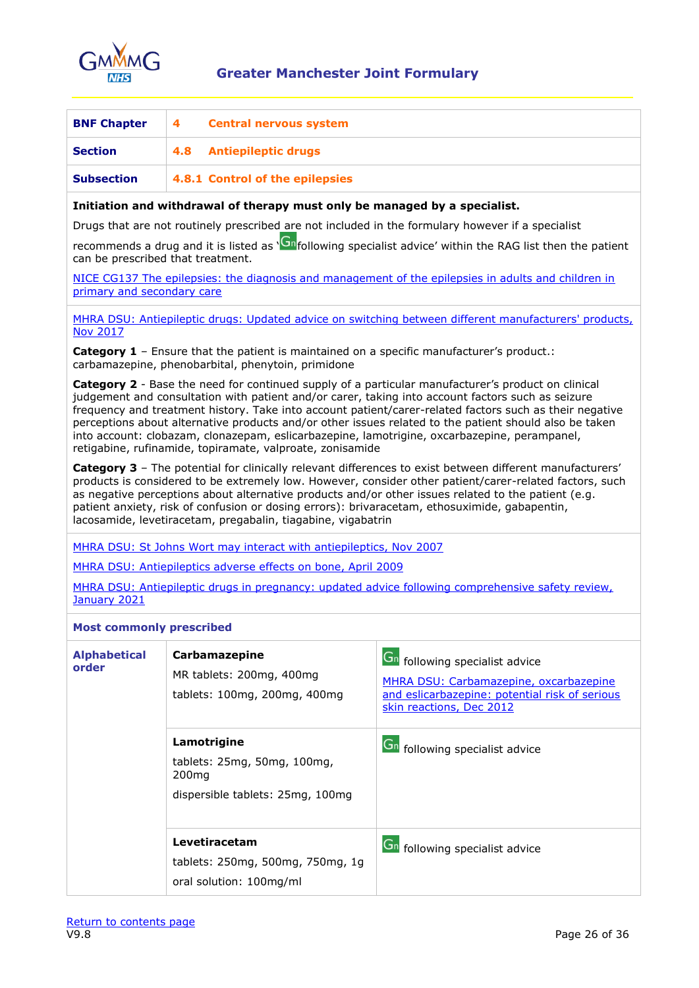

<span id="page-25-0"></span>

| <b>BNF Chapter</b> | <b>Central nervous system</b><br>4 |
|--------------------|------------------------------------|
| <b>Section</b>     | 4.8 Antiepileptic drugs            |
| <b>Subsection</b>  | 4.8.1 Control of the epilepsies    |

### <span id="page-25-1"></span>**Initiation and withdrawal of therapy must only be managed by a specialist.**

Drugs that are not routinely prescribed are not included in the formulary however if a specialist

recommends a drug and it is listed as ['](https://gmmmg.nhs.uk/rag-category/adult/)<sup>Gn</sup>following specialist advice' within the RAG list then the patient can be prescribed that treatment.

NICE CG137 The epilepsies: the diagnosis and management of the epilepsies in adults and children in [primary and secondary care](http://www.nice.org.uk/guidance/cg137)

[MHRA DSU: Antiepileptic drugs: Updated advice on switching between different manufacturers' products,](https://www.gov.uk/drug-safety-update/antiepileptic-drugs-updated-advice-on-switching-between-different-manufacturers-products)  [Nov 2017](https://www.gov.uk/drug-safety-update/antiepileptic-drugs-updated-advice-on-switching-between-different-manufacturers-products)

**Category 1** – Ensure that the patient is maintained on a specific manufacturer's product.: carbamazepine, phenobarbital, phenytoin, primidone

**Category 2** - Base the need for continued supply of a particular manufacturer's product on clinical judgement and consultation with patient and/or carer, taking into account factors such as seizure frequency and treatment history. Take into account patient/carer-related factors such as their negative perceptions about alternative products and/or other issues related to the patient should also be taken into account: clobazam, clonazepam, eslicarbazepine, lamotrigine, oxcarbazepine, perampanel, retigabine, rufinamide, topiramate, valproate, zonisamide

**Category 3** – The potential for clinically relevant differences to exist between different manufacturers' products is considered to be extremely low. However, consider other patient/carer-related factors, such as negative perceptions about alternative products and/or other issues related to the patient (e.g. patient anxiety, risk of confusion or dosing errors): brivaracetam, ethosuximide, gabapentin, lacosamide, levetiracetam, pregabalin, tiagabine, vigabatrin

[MHRA DSU: St Johns Wort may interact with antiepileptics, Nov 2007](https://www.gov.uk/drug-safety-update/herbal-ingredient-st-john-s-wort-may-interact-with-antiepileptics)

[MHRA DSU: Antiepileptics adverse effects on bone, April 2009](https://www.gov.uk/drug-safety-update/antiepileptics-adverse-effects-on-bone)

MHRA [DSU: Antiepileptic drugs in pregnancy: updated advice following comprehensive safety review,](https://www.gov.uk/drug-safety-update/antiepileptic-drugs-in-pregnancy-updated-advice-following-comprehensive-safety-review)  [January 2021](https://www.gov.uk/drug-safety-update/antiepileptic-drugs-in-pregnancy-updated-advice-following-comprehensive-safety-review)

#### **Most commonly prescribed**

| <b>Alphabetical</b><br>order | Carbamazepine<br>MR tablets: 200mg, 400mg<br>tablets: 100mg, 200mg, 400mg                           | Gn following specialist advice<br>MHRA DSU: Carbamazepine, oxcarbazepine<br>and eslicarbazepine: potential risk of serious<br>skin reactions, Dec 2012 |
|------------------------------|-----------------------------------------------------------------------------------------------------|--------------------------------------------------------------------------------------------------------------------------------------------------------|
|                              | Lamotrigine<br>tablets: 25mg, 50mg, 100mg,<br>200 <sub>ma</sub><br>dispersible tablets: 25mg, 100mg | Gn following specialist advice                                                                                                                         |
|                              | Levetiracetam<br>tablets: 250mg, 500mg, 750mg, 1g<br>oral solution: 100mg/ml                        | Gn following specialist advice                                                                                                                         |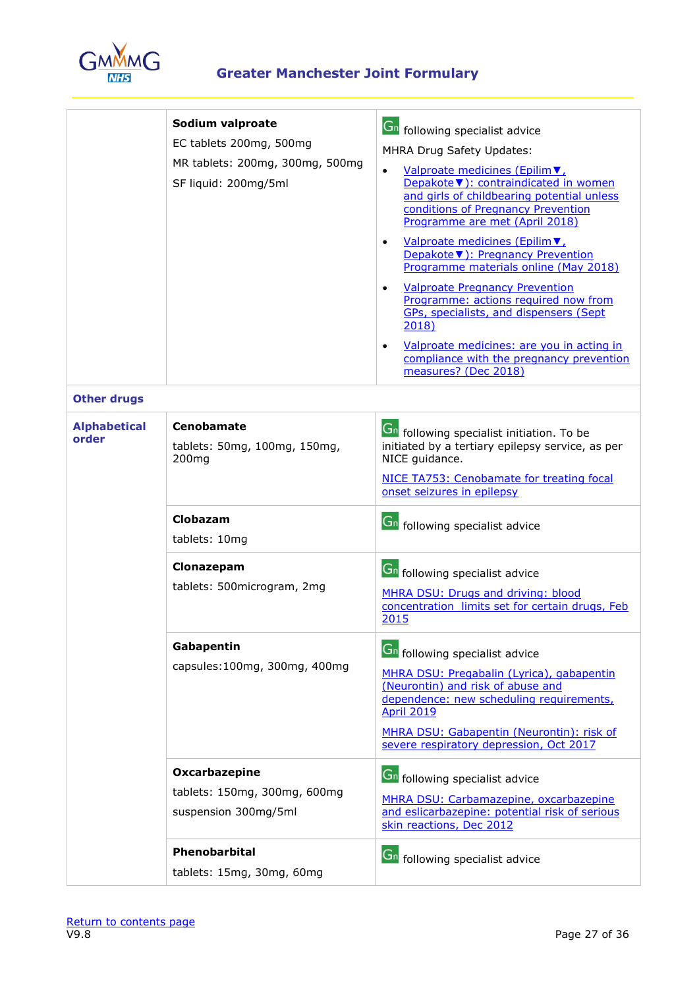

|                              | Sodium valproate<br>EC tablets 200mg, 500mg<br>MR tablets: 200mg, 300mg, 500mg<br>SF liquid: 200mg/5ml | <b>Gn</b> following specialist advice<br>MHRA Drug Safety Updates:<br>Valproate medicines (Epilim ▼<br>Depakote ▼): contraindicated in women<br>and girls of childbearing potential unless<br>conditions of Pregnancy Prevention<br>Programme are met (April 2018)<br>Valproate medicines (Epilim ▼<br>$\bullet$<br>Depakote ▼): Pregnancy Prevention<br>Programme materials online (May 2018)<br><b>Valproate Pregnancy Prevention</b><br>$\bullet$<br>Programme: actions required now from<br>GPs, specialists, and dispensers (Sept<br>2018)<br>Valproate medicines: are you in acting in<br>$\bullet$<br>compliance with the pregnancy prevention<br>measures? (Dec 2018) |
|------------------------------|--------------------------------------------------------------------------------------------------------|-------------------------------------------------------------------------------------------------------------------------------------------------------------------------------------------------------------------------------------------------------------------------------------------------------------------------------------------------------------------------------------------------------------------------------------------------------------------------------------------------------------------------------------------------------------------------------------------------------------------------------------------------------------------------------|
| <b>Other drugs</b>           |                                                                                                        |                                                                                                                                                                                                                                                                                                                                                                                                                                                                                                                                                                                                                                                                               |
| <b>Alphabetical</b><br>order | <b>Cenobamate</b><br>tablets: 50mg, 100mg, 150mg,<br>200 <sub>mg</sub>                                 | <b>Gn</b> following specialist initiation. To be<br>initiated by a tertiary epilepsy service, as per<br>NICE guidance.<br>NICE TA753: Cenobamate for treating focal<br>onset seizures in epilepsy                                                                                                                                                                                                                                                                                                                                                                                                                                                                             |
|                              | Clobazam<br>tablets: 10mg                                                                              | <b>Gn</b> following specialist advice                                                                                                                                                                                                                                                                                                                                                                                                                                                                                                                                                                                                                                         |
|                              | Clonazepam<br>tablets: 500microgram, 2mg                                                               | <b>Gn</b> following specialist advice<br>MHRA DSU: Drugs and driving: blood<br>concentration limits set for certain drugs, Feb<br>2015                                                                                                                                                                                                                                                                                                                                                                                                                                                                                                                                        |
|                              | Gabapentin<br>capsules:100mg, 300mg, 400mg                                                             | <b>Gn</b> following specialist advice<br>MHRA DSU: Pregabalin (Lyrica), gabapentin<br>(Neurontin) and risk of abuse and<br>dependence: new scheduling requirements,<br><b>April 2019</b><br>MHRA DSU: Gabapentin (Neurontin): risk of<br>severe respiratory depression, Oct 2017                                                                                                                                                                                                                                                                                                                                                                                              |
|                              | Oxcarbazepine<br>tablets: 150mg, 300mg, 600mg<br>suspension 300mg/5ml                                  | <b>Ch</b> following specialist advice<br>MHRA DSU: Carbamazepine, oxcarbazepine<br>and eslicarbazepine: potential risk of serious<br>skin reactions, Dec 2012                                                                                                                                                                                                                                                                                                                                                                                                                                                                                                                 |
|                              | Phenobarbital<br>tablets: 15mg, 30mg, 60mg                                                             | <b>Gn</b> following specialist advice                                                                                                                                                                                                                                                                                                                                                                                                                                                                                                                                                                                                                                         |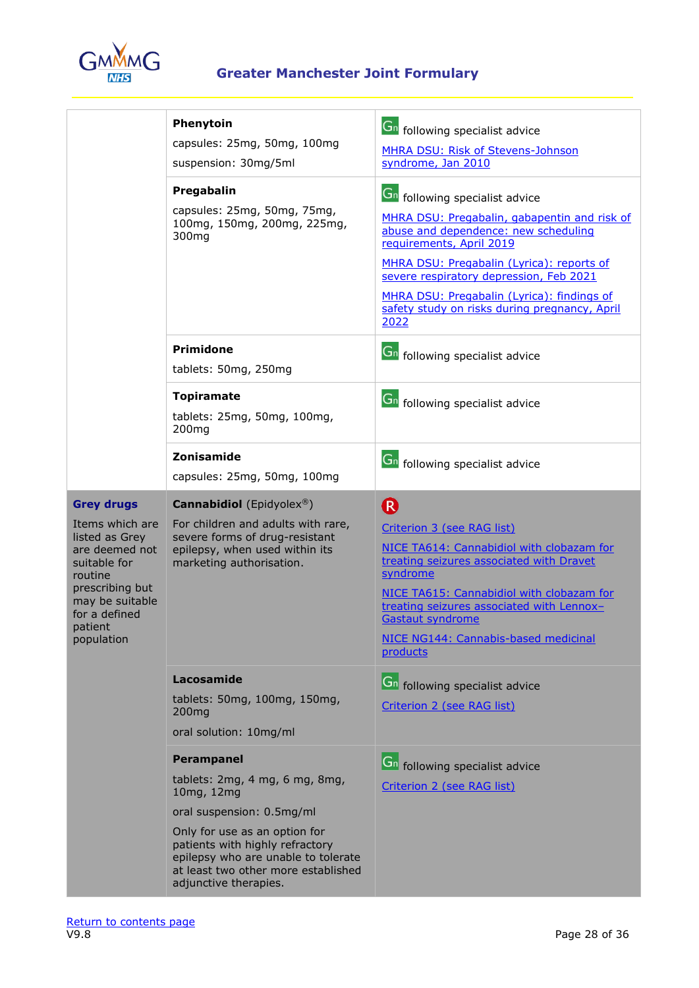

|                                                                                                                                                                                     | Phenytoin<br>capsules: 25mg, 50mg, 100mg<br>suspension: 30mg/5ml                                                                                                                                                                                                          | <b>Gn</b> following specialist advice<br>MHRA DSU: Risk of Stevens-Johnson<br>syndrome, Jan 2010                                                                                                                                                                                                                                                         |
|-------------------------------------------------------------------------------------------------------------------------------------------------------------------------------------|---------------------------------------------------------------------------------------------------------------------------------------------------------------------------------------------------------------------------------------------------------------------------|----------------------------------------------------------------------------------------------------------------------------------------------------------------------------------------------------------------------------------------------------------------------------------------------------------------------------------------------------------|
|                                                                                                                                                                                     | Pregabalin<br>capsules: 25mg, 50mg, 75mg,<br>100mg, 150mg, 200mg, 225mg,<br>300 <sub>mg</sub>                                                                                                                                                                             | <b>Gn</b> following specialist advice<br>MHRA DSU: Pregabalin, gabapentin and risk of<br>abuse and dependence: new scheduling<br>requirements, April 2019<br>MHRA DSU: Pregabalin (Lyrica): reports of<br>severe respiratory depression, Feb 2021<br>MHRA DSU: Pregabalin (Lyrica): findings of<br>safety study on risks during pregnancy, April<br>2022 |
|                                                                                                                                                                                     | <b>Primidone</b><br>tablets: 50mg, 250mg                                                                                                                                                                                                                                  | <b>Gn</b> following specialist advice                                                                                                                                                                                                                                                                                                                    |
|                                                                                                                                                                                     | <b>Topiramate</b><br>tablets: 25mg, 50mg, 100mg,<br>200 <sub>mg</sub>                                                                                                                                                                                                     | <b>Gn</b> following specialist advice                                                                                                                                                                                                                                                                                                                    |
|                                                                                                                                                                                     | Zonisamide<br>capsules: 25mg, 50mg, 100mg                                                                                                                                                                                                                                 | <b>Gn</b> following specialist advice                                                                                                                                                                                                                                                                                                                    |
| <b>Grey drugs</b><br>Items which are<br>listed as Grey<br>are deemed not<br>suitable for<br>routine<br>prescribing but<br>may be suitable<br>for a defined<br>patient<br>population | <b>Cannabidiol</b> (Epidyolex®)<br>For children and adults with rare,<br>severe forms of drug-resistant<br>epilepsy, when used within its<br>marketing authorisation.                                                                                                     | ®<br>Criterion 3 (see RAG list)<br>NICE TA614: Cannabidiol with clobazam for<br>treating seizures associated with Dravet<br>syndrome<br>NICE TA615: Cannabidiol with clobazam for<br>treating seizures associated with Lennox-<br><b>Gastaut syndrome</b><br>NICE NG144: Cannabis-based medicinal<br>products                                            |
|                                                                                                                                                                                     | Lacosamide<br>tablets: 50mg, 100mg, 150mg,<br>200 <sub>mg</sub><br>oral solution: 10mg/ml                                                                                                                                                                                 | <b>Gn</b> following specialist advice<br>Criterion 2 (see RAG list)                                                                                                                                                                                                                                                                                      |
|                                                                                                                                                                                     | <b>Perampanel</b><br>tablets: 2mg, 4 mg, 6 mg, 8mg,<br>10mg, 12mg<br>oral suspension: 0.5mg/ml<br>Only for use as an option for<br>patients with highly refractory<br>epilepsy who are unable to tolerate<br>at least two other more established<br>adjunctive therapies. | <b>Gn</b> following specialist advice<br>Criterion 2 (see RAG list)                                                                                                                                                                                                                                                                                      |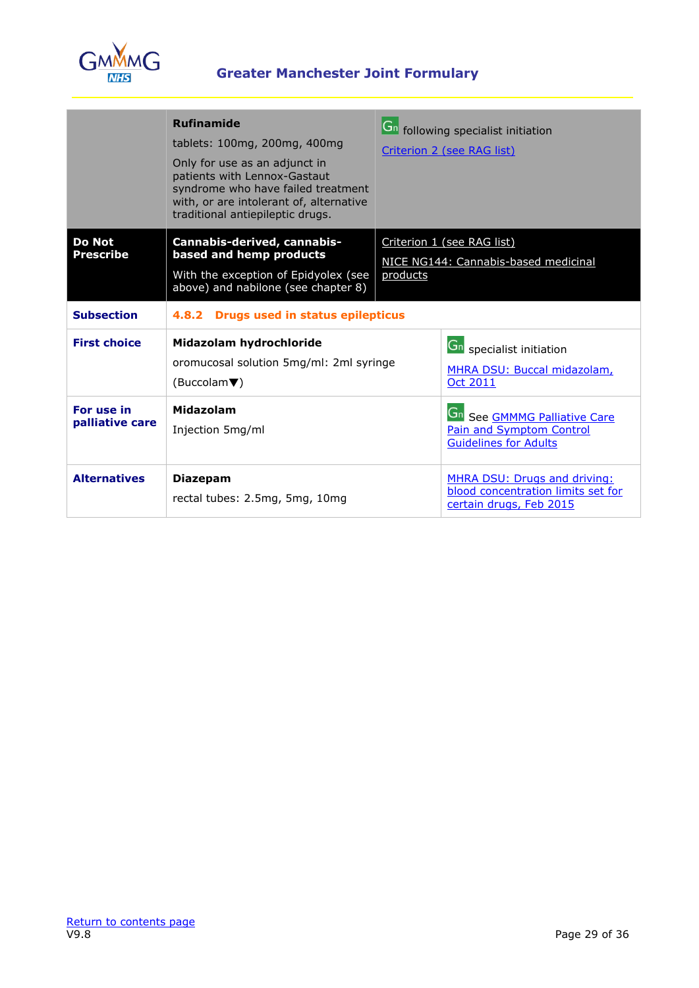

|                                   | <b>Rufinamide</b><br>tablets: 100mg, 200mg, 400mg<br>Only for use as an adjunct in<br>patients with Lennox-Gastaut<br>syndrome who have failed treatment<br>with, or are intolerant of, alternative<br>traditional antiepileptic drugs. |          | <b>Gn</b> following specialist initiation<br>Criterion 2 (see RAG list)                                       |
|-----------------------------------|-----------------------------------------------------------------------------------------------------------------------------------------------------------------------------------------------------------------------------------------|----------|---------------------------------------------------------------------------------------------------------------|
| <b>Do Not</b><br><b>Prescribe</b> | Cannabis-derived, cannabis-<br>based and hemp products<br>With the exception of Epidyolex (see<br>above) and nabilone (see chapter 8)                                                                                                   | products | Criterion 1 (see RAG list)<br>NICE NG144: Cannabis-based medicinal                                            |
| <b>Subsection</b>                 | <b>Drugs used in status epilepticus</b><br>4.8.2                                                                                                                                                                                        |          |                                                                                                               |
| <b>First choice</b>               | Midazolam hydrochloride<br>oromucosal solution 5mg/ml: 2ml syringe<br>(Buccolam $\blacktriangledown$ )                                                                                                                                  |          | <b>Gn</b> specialist initiation<br>MHRA DSU: Buccal midazolam,<br><b>Oct 2011</b>                             |
| For use in<br>palliative care     | Midazolam<br>Injection 5mg/ml                                                                                                                                                                                                           |          | <b>Gn</b> See <b>GMMMG</b> Palliative Care<br><b>Pain and Symptom Control</b><br><b>Guidelines for Adults</b> |
| <b>Alternatives</b>               | <b>Diazepam</b><br>rectal tubes: 2.5mg, 5mg, 10mg                                                                                                                                                                                       |          | MHRA DSU: Drugs and driving:<br>blood concentration limits set for<br>certain drugs, Feb 2015                 |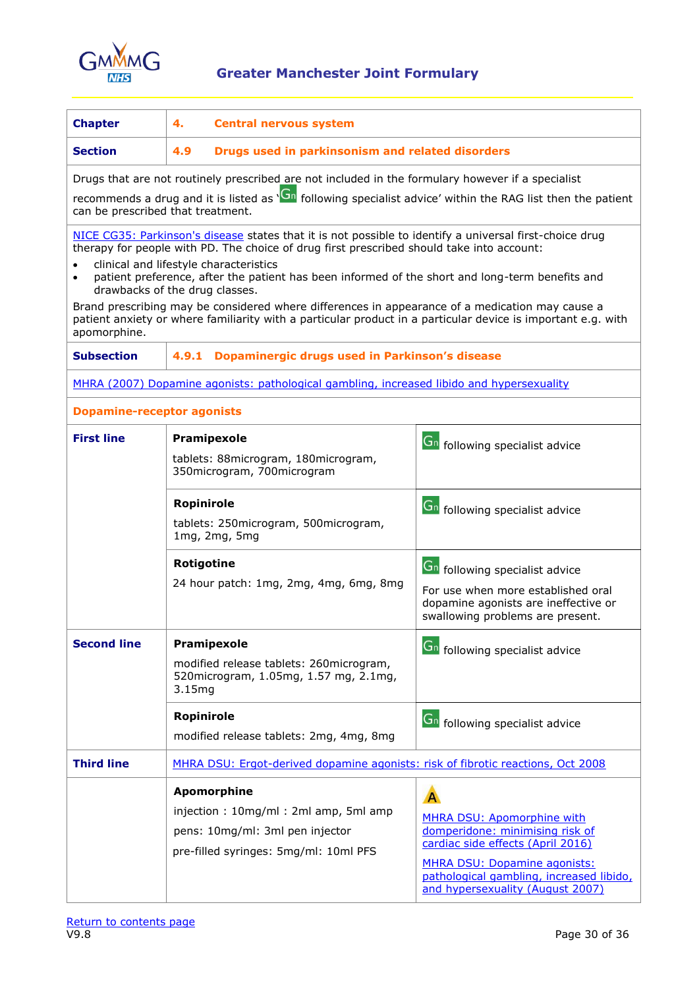

<span id="page-29-0"></span>

| <b>Chapter</b>                    | 4.<br><b>Central nervous system</b>                                                                                                                                                                                                            |                                                                                                                     |  |
|-----------------------------------|------------------------------------------------------------------------------------------------------------------------------------------------------------------------------------------------------------------------------------------------|---------------------------------------------------------------------------------------------------------------------|--|
| <b>Section</b>                    | 4.9<br>Drugs used in parkinsonism and related disorders                                                                                                                                                                                        |                                                                                                                     |  |
|                                   | Drugs that are not routinely prescribed are not included in the formulary however if a specialist                                                                                                                                              |                                                                                                                     |  |
| can be prescribed that treatment. | recommends a drug and it is listed as 'Gn following specialist advice' within the RAG list then the patient                                                                                                                                    |                                                                                                                     |  |
|                                   | NICE CG35: Parkinson's disease states that it is not possible to identify a universal first-choice drug<br>therapy for people with PD. The choice of drug first prescribed should take into account:<br>clinical and lifestyle characteristics |                                                                                                                     |  |
| $\bullet$                         | patient preference, after the patient has been informed of the short and long-term benefits and<br>drawbacks of the drug classes.                                                                                                              |                                                                                                                     |  |
| apomorphine.                      | Brand prescribing may be considered where differences in appearance of a medication may cause a<br>patient anxiety or where familiarity with a particular product in a particular device is important e.g. with                                |                                                                                                                     |  |
| <b>Subsection</b>                 | Dopaminergic drugs used in Parkinson's disease<br>4.9.1                                                                                                                                                                                        |                                                                                                                     |  |
|                                   | MHRA (2007) Dopamine agonists: pathological gambling, increased libido and hypersexuality                                                                                                                                                      |                                                                                                                     |  |
| <b>Dopamine-receptor agonists</b> |                                                                                                                                                                                                                                                |                                                                                                                     |  |
| <b>First line</b>                 | Pramipexole                                                                                                                                                                                                                                    | <b>Gn</b> following specialist advice                                                                               |  |
|                                   | tablets: 88microgram, 180microgram,<br>350 microgram, 700 microgram                                                                                                                                                                            |                                                                                                                     |  |
|                                   | <b>Ropinirole</b>                                                                                                                                                                                                                              | <b>Gn</b> following specialist advice                                                                               |  |
|                                   | tablets: 250microgram, 500microgram,<br>1mg, 2mg, 5mg                                                                                                                                                                                          |                                                                                                                     |  |
|                                   | Rotigotine                                                                                                                                                                                                                                     | <b>Gn</b> following specialist advice                                                                               |  |
|                                   | 24 hour patch: 1mg, 2mg, 4mg, 6mg, 8mg                                                                                                                                                                                                         | For use when more established oral<br>dopamine agonists are ineffective or<br>swallowing problems are present.      |  |
| <b>Second line</b>                | Pramipexole                                                                                                                                                                                                                                    | <b>Gn</b> following specialist advice                                                                               |  |
|                                   | modified release tablets: 260microgram,<br>520 microgram, 1.05 mg, 1.57 mg, 2.1 mg,<br>3.15mg                                                                                                                                                  |                                                                                                                     |  |
|                                   | <b>Ropinirole</b>                                                                                                                                                                                                                              | <b>Gn</b> following specialist advice                                                                               |  |
|                                   | modified release tablets: 2mg, 4mg, 8mg                                                                                                                                                                                                        |                                                                                                                     |  |
| <b>Third line</b>                 | MHRA DSU: Ergot-derived dopamine agonists: risk of fibrotic reactions, Oct 2008                                                                                                                                                                |                                                                                                                     |  |
|                                   | <b>Apomorphine</b>                                                                                                                                                                                                                             | A                                                                                                                   |  |
|                                   | injection: 10mg/ml: 2ml amp, 5ml amp                                                                                                                                                                                                           | <b>MHRA DSU: Apomorphine with</b><br>domperidone: minimising risk of                                                |  |
|                                   | pens: 10mg/ml: 3ml pen injector<br>pre-filled syringes: 5mg/ml: 10ml PFS                                                                                                                                                                       | cardiac side effects (April 2016)                                                                                   |  |
|                                   |                                                                                                                                                                                                                                                | <b>MHRA DSU: Dopamine agonists:</b><br>pathological gambling, increased libido,<br>and hypersexuality (August 2007) |  |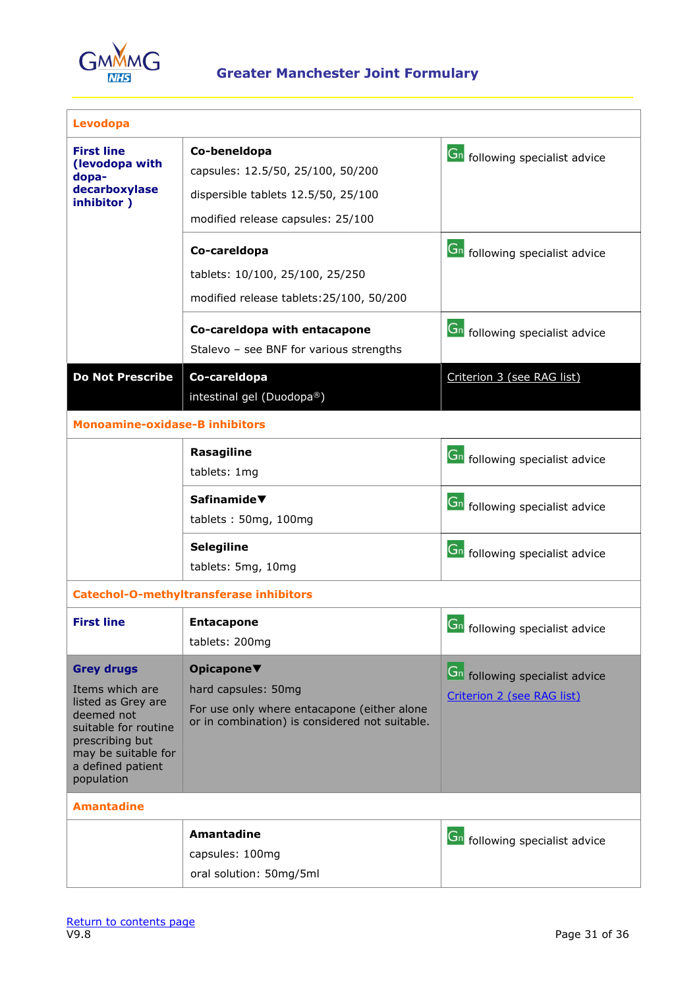

| Levodopa                                                                                                                                                                      |                                                                                                                                    |                                                                                |  |
|-------------------------------------------------------------------------------------------------------------------------------------------------------------------------------|------------------------------------------------------------------------------------------------------------------------------------|--------------------------------------------------------------------------------|--|
| <b>First line</b><br>(levodopa with<br>dopa-<br>decarboxylase<br>inhibitor)                                                                                                   | Co-beneldopa<br>capsules: 12.5/50, 25/100, 50/200<br>dispersible tablets 12.5/50, 25/100<br>modified release capsules: 25/100      | Gn following specialist advice                                                 |  |
|                                                                                                                                                                               | Co-careldopa<br>tablets: 10/100, 25/100, 25/250<br>modified release tablets: 25/100, 50/200<br>Co-careldopa with entacapone        | <b>Gn</b> following specialist advice<br><b>Gn</b> following specialist advice |  |
|                                                                                                                                                                               | Stalevo - see BNF for various strengths                                                                                            |                                                                                |  |
| <b>Do Not Prescribe</b>                                                                                                                                                       | Co-careldopa<br>intestinal gel (Duodopa®)                                                                                          | Criterion 3 (see RAG list)                                                     |  |
| <b>Monoamine-oxidase-B inhibitors</b>                                                                                                                                         |                                                                                                                                    |                                                                                |  |
|                                                                                                                                                                               | Rasagiline<br>tablets: 1mg                                                                                                         | <b>Gn</b> following specialist advice                                          |  |
|                                                                                                                                                                               | Safinamide $\blacktriangledown$<br>tablets: 50mg, 100mg                                                                            | Gn following specialist advice                                                 |  |
|                                                                                                                                                                               | Selegiline<br>tablets: 5mg, 10mg                                                                                                   | <b>Gn</b> following specialist advice                                          |  |
|                                                                                                                                                                               | <b>Catechol-O-methyltransferase inhibitors</b>                                                                                     |                                                                                |  |
| <b>First line</b>                                                                                                                                                             | <b>Entacapone</b><br>tablets: 200mg                                                                                                | <b>Gn</b> following specialist advice                                          |  |
| <b>Grey drugs</b><br>Items which are<br>listed as Grey are<br>deemed not<br>suitable for routine<br>prescribing but<br>may be suitable for<br>a defined patient<br>population | Opicapone▼<br>hard capsules: 50mg<br>For use only where entacapone (either alone<br>or in combination) is considered not suitable. | <b>Gn</b> following specialist advice<br>Criterion 2 (see RAG list)            |  |
| <b>Amantadine</b>                                                                                                                                                             |                                                                                                                                    |                                                                                |  |
|                                                                                                                                                                               | <b>Amantadine</b><br>capsules: 100mg<br>oral solution: 50mg/5ml                                                                    | <b>Gn</b> following specialist advice                                          |  |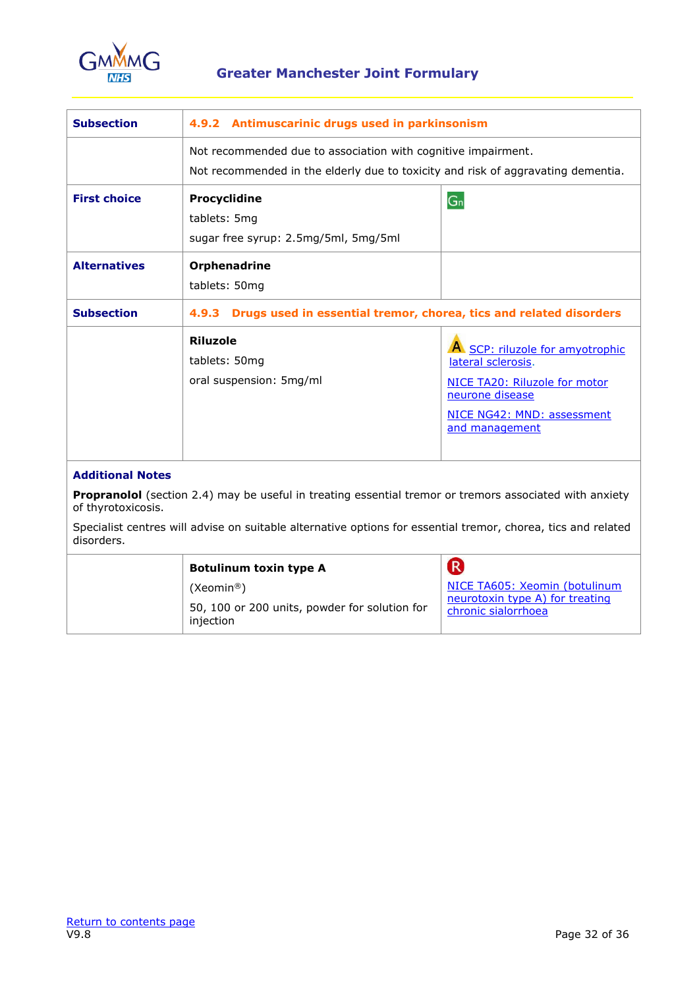

| <b>Subsection</b>                                                                                                             | 4.9.2 Antimuscarinic drugs used in parkinsonism                                  |                                                        |  |
|-------------------------------------------------------------------------------------------------------------------------------|----------------------------------------------------------------------------------|--------------------------------------------------------|--|
|                                                                                                                               | Not recommended due to association with cognitive impairment.                    |                                                        |  |
|                                                                                                                               | Not recommended in the elderly due to toxicity and risk of aggravating dementia. |                                                        |  |
| <b>First choice</b>                                                                                                           | Procyclidine                                                                     | $G_n$                                                  |  |
|                                                                                                                               | tablets: 5mg                                                                     |                                                        |  |
|                                                                                                                               | sugar free syrup: 2.5mg/5ml, 5mg/5ml                                             |                                                        |  |
| <b>Alternatives</b>                                                                                                           | Orphenadrine                                                                     |                                                        |  |
|                                                                                                                               | tablets: 50mg                                                                    |                                                        |  |
| <b>Subsection</b>                                                                                                             | Drugs used in essential tremor, chorea, tics and related disorders<br>4.9.3      |                                                        |  |
|                                                                                                                               | <b>Riluzole</b>                                                                  |                                                        |  |
|                                                                                                                               | tablets: 50mg                                                                    | A SCP: riluzole for amyotrophic<br>lateral sclerosis.  |  |
|                                                                                                                               | oral suspension: 5mg/ml                                                          | NICE TA20: Riluzole for motor                          |  |
|                                                                                                                               |                                                                                  | neurone disease                                        |  |
|                                                                                                                               |                                                                                  | NICE NG42: MND: assessment<br>and management           |  |
|                                                                                                                               |                                                                                  |                                                        |  |
| <b>Additional Notes</b>                                                                                                       |                                                                                  |                                                        |  |
| Propranolol (section 2.4) may be useful in treating essential tremor or tremors associated with anxiety<br>of thyrotoxicosis. |                                                                                  |                                                        |  |
| Specialist centres will advise on suitable alternative options for essential tremor, chorea, tics and related<br>disorders.   |                                                                                  |                                                        |  |
|                                                                                                                               | <b>Botulinum toxin type A</b>                                                    | R                                                      |  |
|                                                                                                                               | (Xeomin®)                                                                        | NICE TA605: Xeomin (botulinum                          |  |
|                                                                                                                               | 50, 100 or 200 units, powder for solution for<br>injection                       | neurotoxin type A) for treating<br>chronic sialorrhoea |  |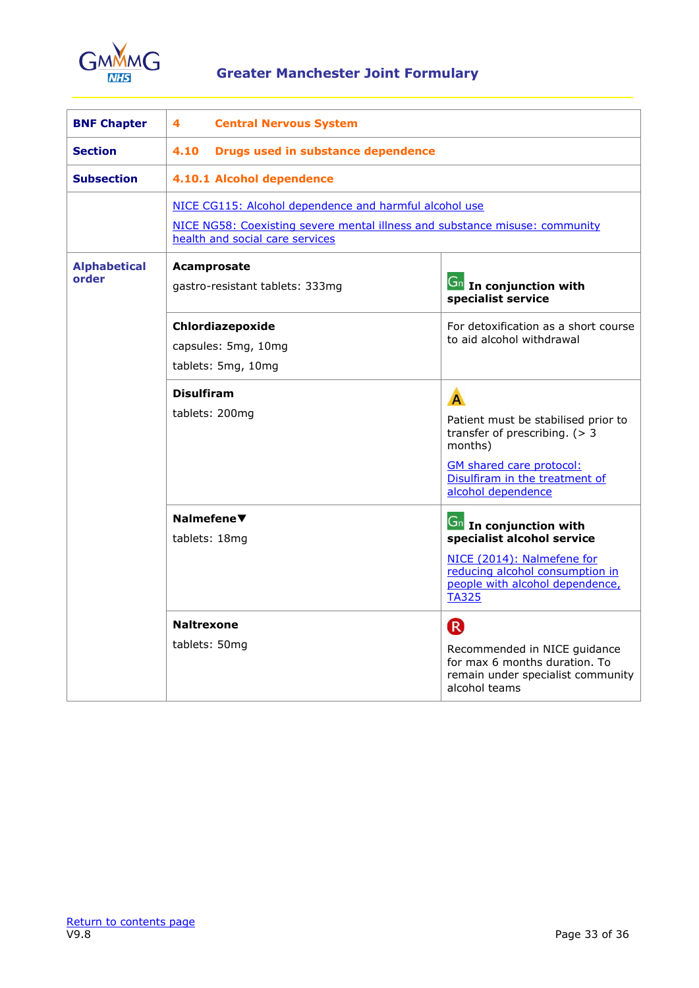

<span id="page-32-0"></span>

| <b>BNF Chapter</b>           | 4<br><b>Central Nervous System</b>                                                                                                                                       |                                                                                                                                                                                   |
|------------------------------|--------------------------------------------------------------------------------------------------------------------------------------------------------------------------|-----------------------------------------------------------------------------------------------------------------------------------------------------------------------------------|
| <b>Section</b>               | 4.10<br>Drugs used in substance dependence                                                                                                                               |                                                                                                                                                                                   |
| <b>Subsection</b>            | 4.10.1 Alcohol dependence                                                                                                                                                |                                                                                                                                                                                   |
|                              | NICE CG115: Alcohol dependence and harmful alcohol use<br>NICE NG58: Coexisting severe mental illness and substance misuse: community<br>health and social care services |                                                                                                                                                                                   |
| <b>Alphabetical</b><br>order | Acamprosate<br>gastro-resistant tablets: 333mg                                                                                                                           | <b>Gn</b> In conjunction with<br>specialist service                                                                                                                               |
|                              | Chlordiazepoxide<br>capsules: 5mg, 10mg<br>tablets: 5mg, 10mg                                                                                                            | For detoxification as a short course<br>to aid alcohol withdrawal                                                                                                                 |
|                              | <b>Disulfiram</b><br>tablets: 200mg                                                                                                                                      | A<br>Patient must be stabilised prior to<br>transfer of prescribing. $(> 3$<br>months)<br><b>GM</b> shared care protocol:<br>Disulfiram in the treatment of<br>alcohol dependence |
|                              | Nalmefene▼<br>tablets: 18mg                                                                                                                                              | <b>Gn</b> In conjunction with<br>specialist alcohol service<br>NICE (2014): Nalmefene for<br>reducing alcohol consumption in<br>people with alcohol dependence,<br><b>TA325</b>   |
|                              | <b>Naltrexone</b><br>tablets: 50mg                                                                                                                                       | R<br>Recommended in NICE guidance<br>for max 6 months duration. To<br>remain under specialist community<br>alcohol teams                                                          |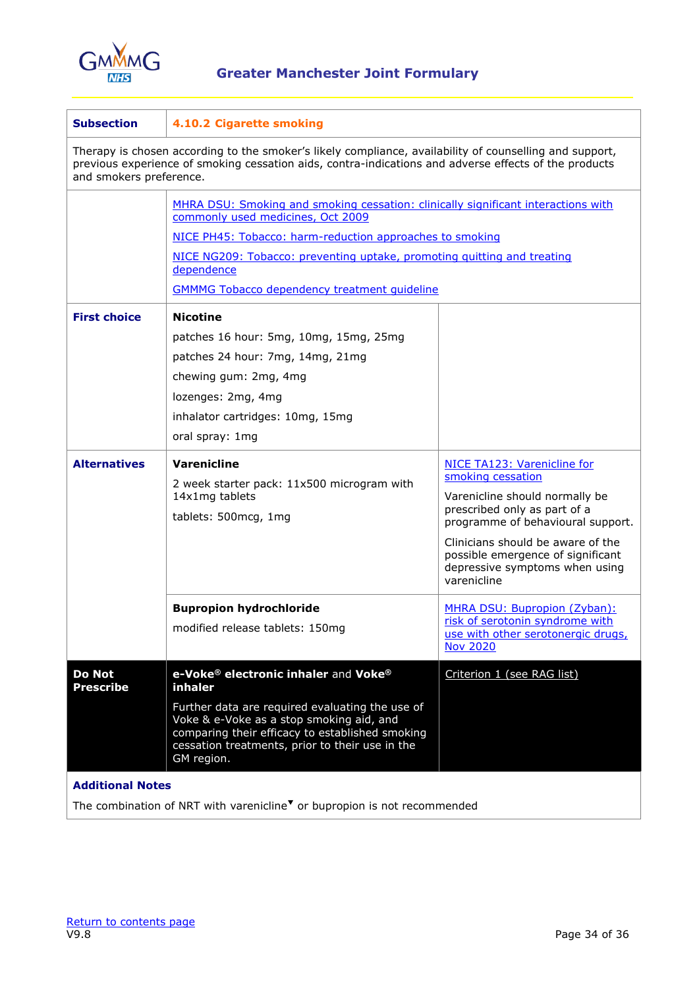

| <b>Subsection</b>                                                                                                                                                                                                                           | 4.10.2 Cigarette smoking                                                                                                                                                                                                                                                                                                           |                                                                                                                                                                                                                                                                                           |  |  |
|---------------------------------------------------------------------------------------------------------------------------------------------------------------------------------------------------------------------------------------------|------------------------------------------------------------------------------------------------------------------------------------------------------------------------------------------------------------------------------------------------------------------------------------------------------------------------------------|-------------------------------------------------------------------------------------------------------------------------------------------------------------------------------------------------------------------------------------------------------------------------------------------|--|--|
| Therapy is chosen according to the smoker's likely compliance, availability of counselling and support,<br>previous experience of smoking cessation aids, contra-indications and adverse effects of the products<br>and smokers preference. |                                                                                                                                                                                                                                                                                                                                    |                                                                                                                                                                                                                                                                                           |  |  |
|                                                                                                                                                                                                                                             | MHRA DSU: Smoking and smoking cessation: clinically significant interactions with<br>commonly used medicines, Oct 2009<br>NICE PH45: Tobacco: harm-reduction approaches to smoking<br>NICE NG209: Tobacco: preventing uptake, promoting guitting and treating<br>dependence<br><b>GMMMG Tobacco dependency treatment quideline</b> |                                                                                                                                                                                                                                                                                           |  |  |
| <b>First choice</b><br><b>Alternatives</b>                                                                                                                                                                                                  | <b>Nicotine</b><br>patches 16 hour: 5mg, 10mg, 15mg, 25mg<br>patches 24 hour: 7mg, 14mg, 21mg<br>chewing gum: 2mg, 4mg<br>lozenges: 2mg, 4mg<br>inhalator cartridges: 10mg, 15mg<br>oral spray: 1mg<br><b>Varenicline</b><br>2 week starter pack: 11x500 microgram with<br>14x1mg tablets<br>tablets: 500mcg, 1mg                  | <b>NICE TA123: Varenicline for</b><br>smoking cessation<br>Varenicline should normally be<br>prescribed only as part of a<br>programme of behavioural support.<br>Clinicians should be aware of the<br>possible emergence of significant<br>depressive symptoms when using<br>varenicline |  |  |
| <b>Do Not</b>                                                                                                                                                                                                                               | <b>Bupropion hydrochloride</b><br>modified release tablets: 150mg<br>e-Voke® electronic inhaler and Voke®                                                                                                                                                                                                                          | MHRA DSU: Bupropion (Zyban):<br>risk of serotonin syndrome with<br>use with other serotonergic drugs,<br><b>Nov 2020</b><br>Criterion 1 (see RAG list)                                                                                                                                    |  |  |
| <b>Prescribe</b>                                                                                                                                                                                                                            | inhaler<br>Further data are required evaluating the use of<br>Voke & e-Voke as a stop smoking aid, and<br>comparing their efficacy to established smoking<br>cessation treatments, prior to their use in the<br>GM region.                                                                                                         |                                                                                                                                                                                                                                                                                           |  |  |
| <b>Additional Notes</b>                                                                                                                                                                                                                     |                                                                                                                                                                                                                                                                                                                                    |                                                                                                                                                                                                                                                                                           |  |  |

The combination of NRT with varenicline<sup> $\blacktriangledown$ </sup> or bupropion is not recommended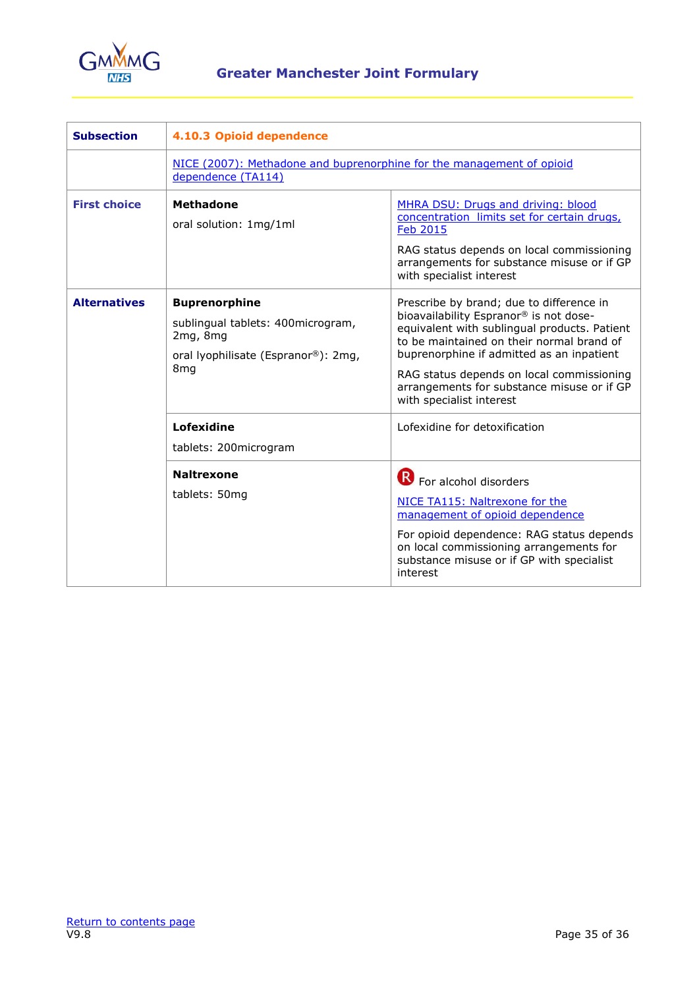

| <b>Subsection</b>   | 4.10.3 Opioid dependence                                                                                                        |                                                                                                                                                                                                                                                                                                                                                     |
|---------------------|---------------------------------------------------------------------------------------------------------------------------------|-----------------------------------------------------------------------------------------------------------------------------------------------------------------------------------------------------------------------------------------------------------------------------------------------------------------------------------------------------|
|                     | NICE (2007): Methadone and buprenorphine for the management of opioid<br>dependence (TA114)                                     |                                                                                                                                                                                                                                                                                                                                                     |
| <b>First choice</b> | <b>Methadone</b><br>oral solution: 1mg/1ml                                                                                      | MHRA DSU: Drugs and driving: blood<br>concentration limits set for certain drugs,<br><b>Feb 2015</b><br>RAG status depends on local commissioning<br>arrangements for substance misuse or if GP<br>with specialist interest                                                                                                                         |
| <b>Alternatives</b> | <b>Buprenorphine</b><br>sublingual tablets: 400microgram,<br>2mg, 8mg<br>oral lyophilisate (Espranor®): 2mg,<br>8 <sub>mg</sub> | Prescribe by brand; due to difference in<br>bioavailability Espranor® is not dose-<br>equivalent with sublingual products. Patient<br>to be maintained on their normal brand of<br>buprenorphine if admitted as an inpatient<br>RAG status depends on local commissioning<br>arrangements for substance misuse or if GP<br>with specialist interest |
|                     | Lofexidine<br>tablets: 200microgram                                                                                             | Lofexidine for detoxification                                                                                                                                                                                                                                                                                                                       |
|                     | <b>Naltrexone</b><br>tablets: 50mg                                                                                              | <b>B</b> For alcohol disorders<br>NICE TA115: Naltrexone for the<br>management of opioid dependence<br>For opioid dependence: RAG status depends<br>on local commissioning arrangements for<br>substance misuse or if GP with specialist<br>interest                                                                                                |